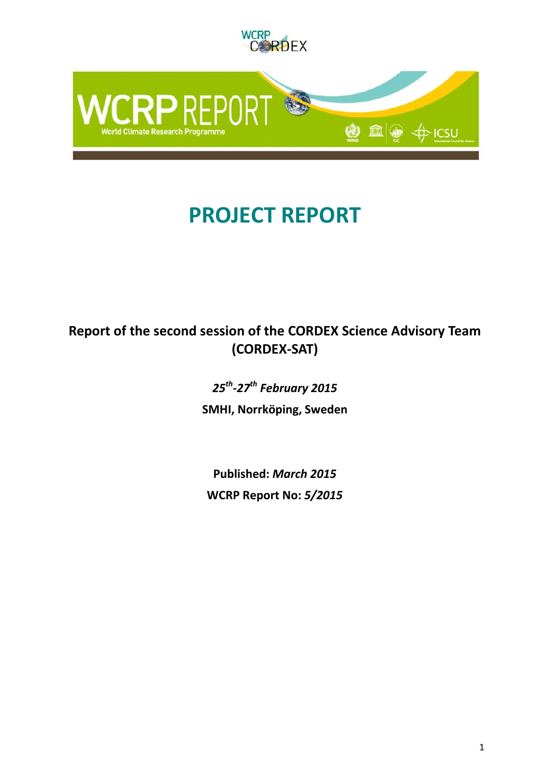

# **PROJECT REPORT**

## **Report of the second session of the CORDEX Science Advisory Team (CORDEX-SAT)**

*25th-27th February 2015* **SMHI, Norrköping, Sweden**

**Published:** *March 2015* **WCRP Report No:** *5/2015*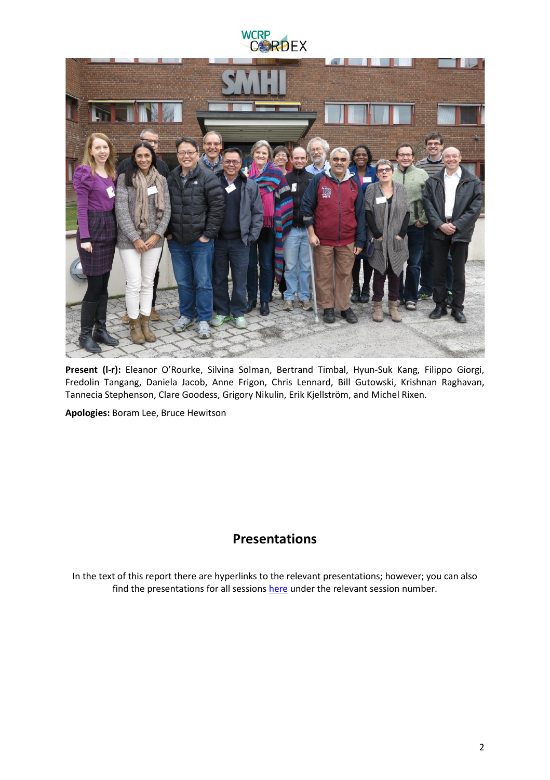



**Present (l-r):** Eleanor O'Rourke, Silvina Solman, Bertrand Timbal, Hyun-Suk Kang, Filippo Giorgi, Fredolin Tangang, Daniela Jacob, Anne Frigon, Chris Lennard, Bill Gutowski, Krishnan Raghavan, Tannecia Stephenson, Clare Goodess, Grigory Nikulin, Erik Kjellström, and Michel Rixen.

**Apologies:** Boram Lee, Bruce Hewitson

## **Presentations**

In the text of this report there are hyperlinks to the relevant presentations; however; you can also find the presentations for all sessions [here](https://drive.google.com/folderview?id=0B4DbtMVupQZsfjRpRVlsMkJEdWhSQmgtaVYzWWF3amI3WGJPdE84dGtST1ozUjc4UWtaN0U&usp=sharing) under the relevant session number.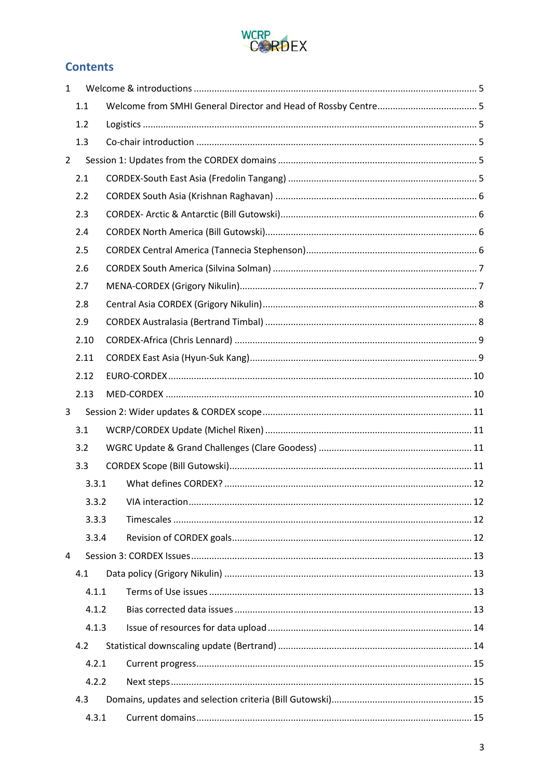

## **Contents**

| $\mathbf{1}$   |       |  |  |  |
|----------------|-------|--|--|--|
|                | 1.1   |  |  |  |
|                | 1.2   |  |  |  |
|                | 1.3   |  |  |  |
| $\overline{2}$ |       |  |  |  |
|                | 2.1   |  |  |  |
|                | 2.2   |  |  |  |
|                | 2.3   |  |  |  |
|                | 2.4   |  |  |  |
|                | 2.5   |  |  |  |
|                | 2.6   |  |  |  |
|                | 2.7   |  |  |  |
|                | 2.8   |  |  |  |
|                | 2.9   |  |  |  |
|                | 2.10  |  |  |  |
|                | 2.11  |  |  |  |
|                | 2.12  |  |  |  |
|                | 2.13  |  |  |  |
| 3              |       |  |  |  |
|                | 3.1   |  |  |  |
|                | 3.2   |  |  |  |
|                | 3.3   |  |  |  |
|                | 3.3.1 |  |  |  |
|                | 3.3.2 |  |  |  |
|                | 3.3.3 |  |  |  |
|                | 3.3.4 |  |  |  |
| 4              |       |  |  |  |
|                | 4.1   |  |  |  |
| 4.1.1          |       |  |  |  |
|                | 4.1.2 |  |  |  |
|                | 4.1.3 |  |  |  |
|                | 4.2   |  |  |  |
|                | 4.2.1 |  |  |  |
|                | 4.2.2 |  |  |  |
|                | 4.3   |  |  |  |
|                | 4.3.1 |  |  |  |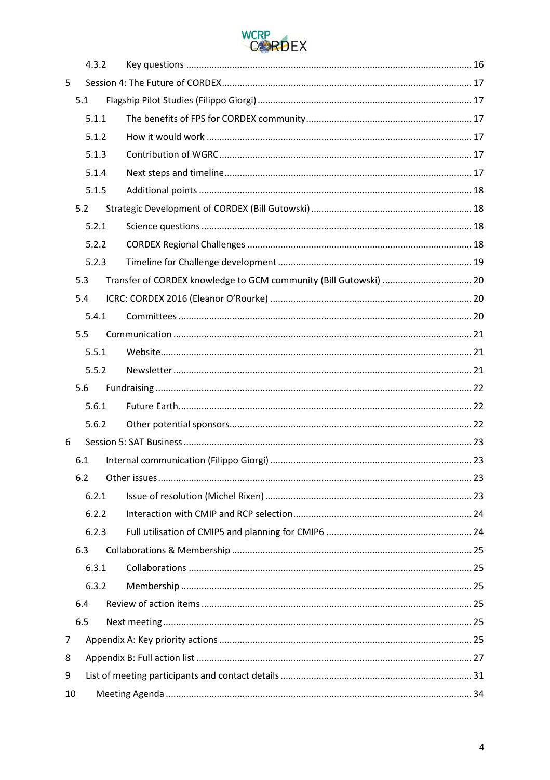

|                         | 4.3.2 |  |  |
|-------------------------|-------|--|--|
| 5                       |       |  |  |
|                         | 5.1   |  |  |
|                         | 5.1.1 |  |  |
|                         | 5.1.2 |  |  |
| 5.1.3<br>5.1.4<br>5.1.5 |       |  |  |
|                         |       |  |  |
|                         |       |  |  |
|                         | 5.2   |  |  |
|                         | 5.2.1 |  |  |
|                         | 5.2.2 |  |  |
|                         | 5.2.3 |  |  |
|                         | 5.3   |  |  |
|                         | 5.4   |  |  |
|                         | 5.4.1 |  |  |
|                         | 5.5   |  |  |
|                         | 5.5.1 |  |  |
|                         | 5.5.2 |  |  |
|                         | 5.6   |  |  |
|                         | 5.6.1 |  |  |
|                         | 5.6.2 |  |  |
| 6                       |       |  |  |
|                         |       |  |  |
|                         | 6.1   |  |  |
|                         | 6.2   |  |  |
|                         | 6.2.1 |  |  |
|                         | 6.2.2 |  |  |
|                         | 6.2.3 |  |  |
|                         | 6.3   |  |  |
|                         | 6.3.1 |  |  |
|                         | 6.3.2 |  |  |
|                         | 6.4   |  |  |
|                         | 6.5   |  |  |
| 7                       |       |  |  |
| 8                       |       |  |  |
| 9                       |       |  |  |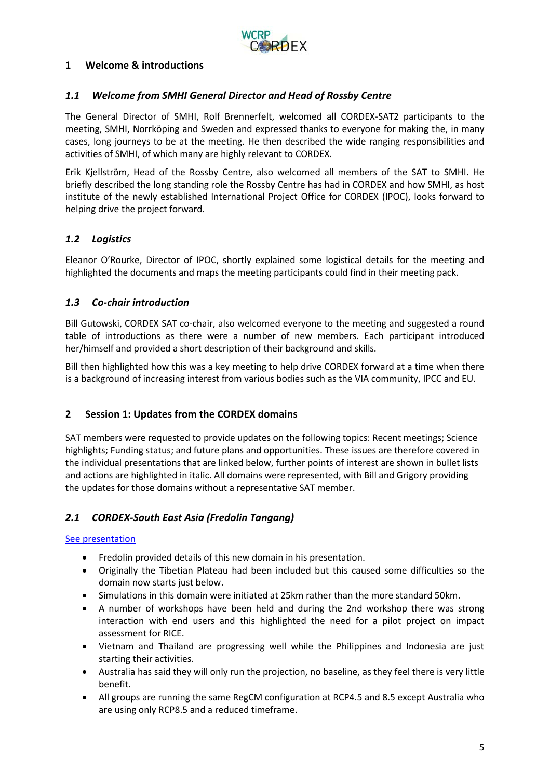

## <span id="page-4-0"></span>**1 Welcome & introductions**

## <span id="page-4-1"></span>*1.1 Welcome from SMHI General Director and Head of Rossby Centre*

The General Director of SMHI, Rolf Brennerfelt, welcomed all CORDEX-SAT2 participants to the meeting, SMHI, Norrköping and Sweden and expressed thanks to everyone for making the, in many cases, long journeys to be at the meeting. He then described the wide ranging responsibilities and activities of SMHI, of which many are highly relevant to CORDEX.

Erik Kjellström, Head of the Rossby Centre, also welcomed all members of the SAT to SMHI. He briefly described the long standing role the Rossby Centre has had in CORDEX and how SMHI, as host institute of the newly established International Project Office for CORDEX (IPOC), looks forward to helping drive the project forward.

## <span id="page-4-2"></span>*1.2 Logistics*

Eleanor O'Rourke, Director of IPOC, shortly explained some logistical details for the meeting and highlighted the documents and maps the meeting participants could find in their meeting pack.

## <span id="page-4-3"></span>*1.3 Co-chair introduction*

Bill Gutowski, CORDEX SAT co-chair, also welcomed everyone to the meeting and suggested a round table of introductions as there were a number of new members. Each participant introduced her/himself and provided a short description of their background and skills.

Bill then highlighted how this was a key meeting to help drive CORDEX forward at a time when there is a background of increasing interest from various bodies such as the VIA community, IPCC and EU.

## <span id="page-4-4"></span>**2 Session 1: Updates from the CORDEX domains**

SAT members were requested to provide updates on the following topics: Recent meetings; Science highlights; Funding status; and future plans and opportunities. These issues are therefore covered in the individual presentations that are linked below, further points of interest are shown in bullet lists and actions are highlighted in italic. All domains were represented, with Bill and Grigory providing the updates for those domains without a representative SAT member.

## <span id="page-4-5"></span>*2.1 CORDEX-South East Asia (Fredolin Tangang)*

#### [See presentation](https://drive.google.com/open?id=0B4DbtMVupQZsZWNyTGd2UzJfVzg&authuser=0)

- Fredolin provided details of this new domain in his presentation.
- Originally the Tibetian Plateau had been included but this caused some difficulties so the domain now starts just below.
- Simulations in this domain were initiated at 25km rather than the more standard 50km.
- A number of workshops have been held and during the 2nd workshop there was strong interaction with end users and this highlighted the need for a pilot project on impact assessment for RICE.
- Vietnam and Thailand are progressing well while the Philippines and Indonesia are just starting their activities.
- Australia has said they will only run the projection, no baseline, as they feel there is very little benefit.
- All groups are running the same RegCM configuration at RCP4.5 and 8.5 except Australia who are using only RCP8.5 and a reduced timeframe.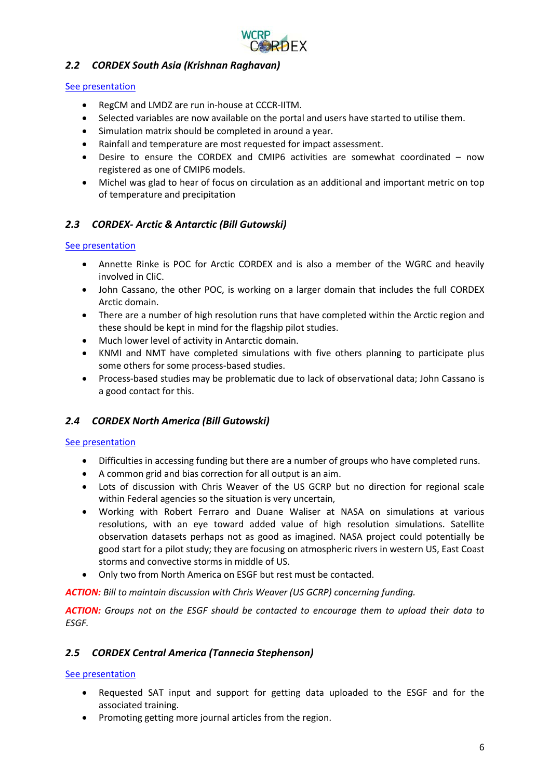

## <span id="page-5-0"></span>*2.2 CORDEX South Asia (Krishnan Raghavan)*

#### [See presentation](https://drive.google.com/open?id=0B4DbtMVupQZsOWxxWkk4TDUyY0k&authuser=0)

- RegCM and LMDZ are run in-house at CCCR-IITM.
- Selected variables are now available on the portal and users have started to utilise them.
- Simulation matrix should be completed in around a year.
- Rainfall and temperature are most requested for impact assessment.
- Desire to ensure the CORDEX and CMIP6 activities are somewhat coordinated now registered as one of CMIP6 models.
- Michel was glad to hear of focus on circulation as an additional and important metric on top of temperature and precipitation

## <span id="page-5-1"></span>*2.3 CORDEX- Arctic & Antarctic (Bill Gutowski)*

#### [See presentation](https://drive.google.com/open?id=0B4DbtMVupQZscEhfNkZONmtEdFE&authuser=0)

- Annette Rinke is POC for Arctic CORDEX and is also a member of the WGRC and heavily involved in CliC.
- John Cassano, the other POC, is working on a larger domain that includes the full CORDEX Arctic domain.
- There are a number of high resolution runs that have completed within the Arctic region and these should be kept in mind for the flagship pilot studies.
- Much lower level of activity in Antarctic domain.
- KNMI and NMT have completed simulations with five others planning to participate plus some others for some process-based studies.
- Process-based studies may be problematic due to lack of observational data; John Cassano is a good contact for this.

## <span id="page-5-2"></span>*2.4 CORDEX North America (Bill Gutowski)*

#### [See presentation](https://drive.google.com/open?id=0B4DbtMVupQZsQVQ4cml5LVFNRnM&authuser=0)

- Difficulties in accessing funding but there are a number of groups who have completed runs.
- A common grid and bias correction for all output is an aim.
- Lots of discussion with Chris Weaver of the US GCRP but no direction for regional scale within Federal agencies so the situation is very uncertain,
- Working with Robert Ferraro and Duane Waliser at NASA on simulations at various resolutions, with an eye toward added value of high resolution simulations. Satellite observation datasets perhaps not as good as imagined. NASA project could potentially be good start for a pilot study; they are focusing on atmospheric rivers in western US, East Coast storms and convective storms in middle of US.
- Only two from North America on ESGF but rest must be contacted.

*ACTION: Bill to maintain discussion with Chris Weaver (US GCRP) concerning funding.*

*ACTION: Groups not on the ESGF should be contacted to encourage them to upload their data to ESGF.*

## <span id="page-5-3"></span>*2.5 CORDEX Central America (Tannecia Stephenson)*

#### [See presentation](https://drive.google.com/open?id=0B4DbtMVupQZsNEhocGs4d2RiTkk&authuser=0)

- Requested SAT input and support for getting data uploaded to the ESGF and for the associated training.
- Promoting getting more journal articles from the region.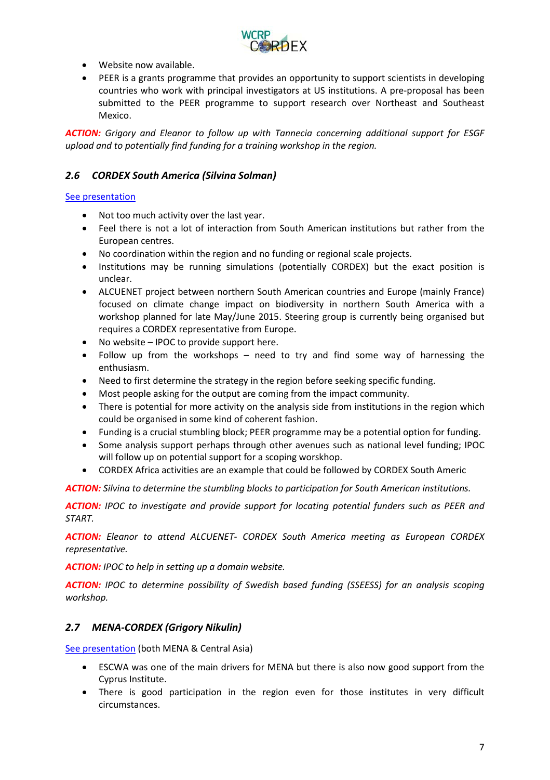

- Website now available.
- PEER is a grants programme that provides an opportunity to support scientists in developing countries who work with principal investigators at US institutions. A pre-proposal has been submitted to the PEER programme to support research over Northeast and Southeast Mexico.

*ACTION: Grigory and Eleanor to follow up with Tannecia concerning additional support for ESGF upload and to potentially find funding for a training workshop in the region.*

## <span id="page-6-0"></span>*2.6 CORDEX South America (Silvina Solman)*

#### [See presentation](https://drive.google.com/open?id=0B4DbtMVupQZsZmpzMmowSFdYYVU&authuser=0)

- Not too much activity over the last year.
- Feel there is not a lot of interaction from South American institutions but rather from the European centres.
- No coordination within the region and no funding or regional scale projects.
- Institutions may be running simulations (potentially CORDEX) but the exact position is unclear.
- ALCUENET project between northern South American countries and Europe (mainly France) focused on climate change impact on biodiversity in northern South America with a workshop planned for late May/June 2015. Steering group is currently being organised but requires a CORDEX representative from Europe.
- No website IPOC to provide support here.
- Follow up from the workshops need to try and find some way of harnessing the enthusiasm.
- Need to first determine the strategy in the region before seeking specific funding.
- Most people asking for the output are coming from the impact community.
- There is potential for more activity on the analysis side from institutions in the region which could be organised in some kind of coherent fashion.
- Funding is a crucial stumbling block; PEER programme may be a potential option for funding.
- Some analysis support perhaps through other avenues such as national level funding; IPOC will follow up on potential support for a scoping worskhop.
- CORDEX Africa activities are an example that could be followed by CORDEX South Americ

*ACTION: Silvina to determine the stumbling blocks to participation for South American institutions.*

*ACTION: IPOC to investigate and provide support for locating potential funders such as PEER and START.*

*ACTION: Eleanor to attend ALCUENET- CORDEX South America meeting as European CORDEX representative.*

*ACTION: IPOC to help in setting up a domain website.*

*ACTION: IPOC to determine possibility of Swedish based funding (SSEESS) for an analysis scoping workshop.*

## <span id="page-6-1"></span>*2.7 MENA-CORDEX (Grigory Nikulin)*

[See presentation](https://drive.google.com/open?id=0B4DbtMVupQZsTXBicHZjS013MDA&authuser=0) (both MENA & Central Asia)

- ESCWA was one of the main drivers for MENA but there is also now good support from the Cyprus Institute.
- There is good participation in the region even for those institutes in very difficult circumstances.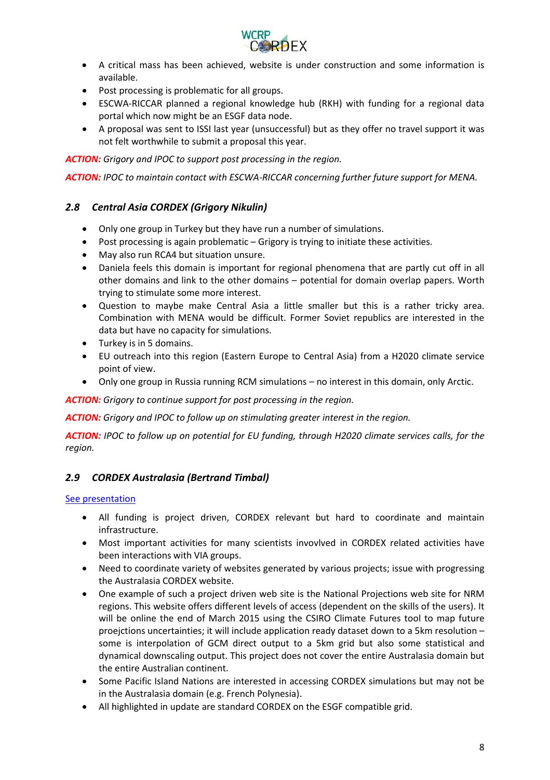

- A critical mass has been achieved, website is under construction and some information is available.
- Post processing is problematic for all groups.
- ESCWA-RICCAR planned a regional knowledge hub (RKH) with funding for a regional data portal which now might be an ESGF data node.
- A proposal was sent to ISSI last year (unsuccessful) but as they offer no travel support it was not felt worthwhile to submit a proposal this year.

*ACTION: Grigory and IPOC to support post processing in the region.*

*ACTION: IPOC to maintain contact with ESCWA-RICCAR concerning further future support for MENA.*

## <span id="page-7-0"></span>*2.8 Central Asia CORDEX (Grigory Nikulin)*

- Only one group in Turkey but they have run a number of simulations.
- Post processing is again problematic Grigory is trying to initiate these activities.
- May also run RCA4 but situation unsure.
- Daniela feels this domain is important for regional phenomena that are partly cut off in all other domains and link to the other domains – potential for domain overlap papers. Worth trying to stimulate some more interest.
- Question to maybe make Central Asia a little smaller but this is a rather tricky area. Combination with MENA would be difficult. Former Soviet republics are interested in the data but have no capacity for simulations.
- Turkey is in 5 domains.
- EU outreach into this region (Eastern Europe to Central Asia) from a H2020 climate service point of view.
- Only one group in Russia running RCM simulations no interest in this domain, only Arctic.

*ACTION: Grigory to continue support for post processing in the region.*

*ACTION: Grigory and IPOC to follow up on stimulating greater interest in the region.*

*ACTION: IPOC to follow up on potential for EU funding, through H2020 climate services calls, for the region.*

## <span id="page-7-1"></span>*2.9 CORDEX Australasia (Bertrand Timbal)*

#### [See presentation](https://drive.google.com/open?id=0B4DbtMVupQZsdnR5RlkzSEhMR0E&authuser=0)

- All funding is project driven, CORDEX relevant but hard to coordinate and maintain infrastructure.
- Most important activities for many scientists invovlved in CORDEX related activities have been interactions with VIA groups.
- Need to coordinate variety of websites generated by various projects; issue with progressing the Australasia CORDEX website.
- One example of such a project driven web site is the National Projections web site for NRM regions. This website offers different levels of access (dependent on the skills of the users). It will be online the end of March 2015 using the CSIRO Climate Futures tool to map future proejctions uncertainties; it will include application ready dataset down to a 5km resolution – some is interpolation of GCM direct output to a 5km grid but also some statistical and dynamical downscaling output. This project does not cover the entire Australasia domain but the entire Australian continent.
- Some Pacific Island Nations are interested in accessing CORDEX simulations but may not be in the Australasia domain (e.g. French Polynesia).
- All highlighted in update are standard CORDEX on the ESGF compatible grid.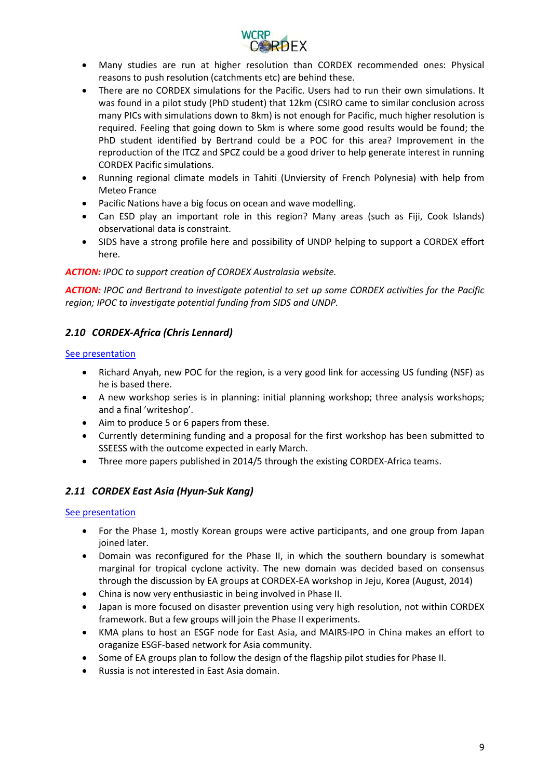

- Many studies are run at higher resolution than CORDEX recommended ones: Physical reasons to push resolution (catchments etc) are behind these.
- There are no CORDEX simulations for the Pacific. Users had to run their own simulations. It was found in a pilot study (PhD student) that 12km (CSIRO came to similar conclusion across many PICs with simulations down to 8km) is not enough for Pacific, much higher resolution is required. Feeling that going down to 5km is where some good results would be found; the PhD student identified by Bertrand could be a POC for this area? Improvement in the reproduction of the ITCZ and SPCZ could be a good driver to help generate interest in running CORDEX Pacific simulations.
- Running regional climate models in Tahiti (Unviersity of French Polynesia) with help from Meteo France
- Pacific Nations have a big focus on ocean and wave modelling.
- Can ESD play an important role in this region? Many areas (such as Fiji, Cook Islands) observational data is constraint.
- SIDS have a strong profile here and possibility of UNDP helping to support a CORDEX effort here.

## *ACTION: IPOC to support creation of CORDEX Australasia website.*

*ACTION: IPOC and Bertrand to investigate potential to set up some CORDEX activities for the Pacific region; IPOC to investigate potential funding from SIDS and UNDP.*

## <span id="page-8-0"></span>*2.10 CORDEX-Africa (Chris Lennard)*

## [See presentation](https://drive.google.com/open?id=0B4DbtMVupQZsekRmeEFyMjlvYmc&authuser=0)

- Richard Anyah, new POC for the region, is a very good link for accessing US funding (NSF) as he is based there.
- A new workshop series is in planning: initial planning workshop; three analysis workshops; and a final 'writeshop'.
- Aim to produce 5 or 6 papers from these.
- Currently determining funding and a proposal for the first workshop has been submitted to SSEESS with the outcome expected in early March.
- Three more papers published in 2014/5 through the existing CORDEX-Africa teams.

## <span id="page-8-1"></span>*2.11 CORDEX East Asia (Hyun-Suk Kang)*

## [See presentation](https://drive.google.com/open?id=0B4DbtMVupQZsOWtsZi0yZG9WWXM&authuser=0)

- For the Phase 1, mostly Korean groups were active participants, and one group from Japan joined later.
- Domain was reconfigured for the Phase II, in which the southern boundary is somewhat marginal for tropical cyclone activity. The new domain was decided based on consensus through the discussion by EA groups at CORDEX-EA workshop in Jeju, Korea (August, 2014)
- China is now very enthusiastic in being involved in Phase II.
- Japan is more focused on disaster prevention using very high resolution, not within CORDEX framework. But a few groups will join the Phase II experiments.
- KMA plans to host an ESGF node for East Asia, and MAIRS-IPO in China makes an effort to oraganize ESGF-based network for Asia community.
- Some of EA groups plan to follow the design of the flagship pilot studies for Phase II.
- Russia is not interested in East Asia domain.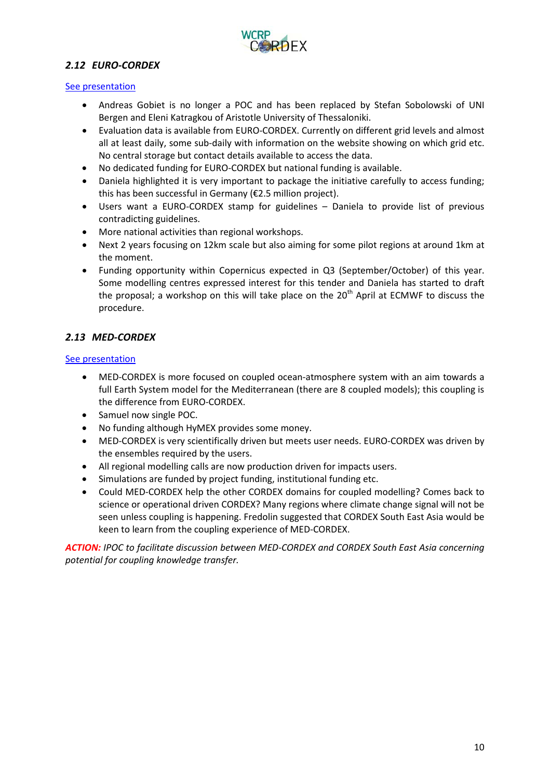

## <span id="page-9-0"></span>*2.12 EURO-CORDEX*

#### [See presentation](https://drive.google.com/open?id=0B4DbtMVupQZsYXRFNlAtUWxtWW8&authuser=0)

- Andreas Gobiet is no longer a POC and has been replaced by Stefan Sobolowski of UNI Bergen and Eleni Katragkou of Aristotle University of Thessaloniki.
- Evaluation data is available from EURO-CORDEX. Currently on different grid levels and almost all at least daily, some sub-daily with information on the website showing on which grid etc. No central storage but contact details available to access the data.
- No dedicated funding for EURO-CORDEX but national funding is available.
- Daniela highlighted it is very important to package the initiative carefully to access funding; this has been successful in Germany (€2.5 million project).
- Users want a EURO-CORDEX stamp for guidelines Daniela to provide list of previous contradicting guidelines.
- More national activities than regional workshops.
- Next 2 years focusing on 12km scale but also aiming for some pilot regions at around 1km at the moment.
- Funding opportunity within Copernicus expected in Q3 (September/October) of this year. Some modelling centres expressed interest for this tender and Daniela has started to draft the proposal; a workshop on this will take place on the  $20<sup>th</sup>$  April at ECMWF to discuss the procedure.

## <span id="page-9-1"></span>*2.13 MED-CORDEX*

#### [See presentation](https://drive.google.com/open?id=0B4DbtMVupQZsSkRvS1o1OEtQMkE&authuser=0)

- MED-CORDEX is more focused on coupled ocean-atmosphere system with an aim towards a full Earth System model for the Mediterranean (there are 8 coupled models); this coupling is the difference from EURO-CORDEX.
- Samuel now single POC.
- No funding although HyMEX provides some money.
- MED-CORDEX is very scientifically driven but meets user needs. EURO-CORDEX was driven by the ensembles required by the users.
- All regional modelling calls are now production driven for impacts users.
- Simulations are funded by project funding, institutional funding etc.
- Could MED-CORDEX help the other CORDEX domains for coupled modelling? Comes back to science or operational driven CORDEX? Many regions where climate change signal will not be seen unless coupling is happening. Fredolin suggested that CORDEX South East Asia would be keen to learn from the coupling experience of MED-CORDEX.

*ACTION: IPOC to facilitate discussion between MED-CORDEX and CORDEX South East Asia concerning potential for coupling knowledge transfer.*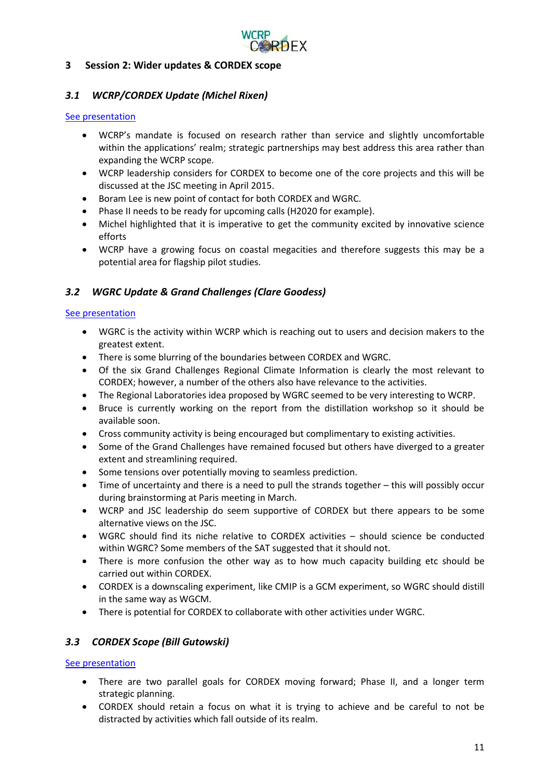

## <span id="page-10-0"></span>**3 Session 2: Wider updates & CORDEX scope**

## <span id="page-10-1"></span>*3.1 WCRP/CORDEX Update (Michel Rixen)*

#### [See presentation](https://drive.google.com/open?id=0B4DbtMVupQZsUEJ1NGlnQ3F2Mmc&authuser=0)

- WCRP's mandate is focused on research rather than service and slightly uncomfortable within the applications' realm; strategic partnerships may best address this area rather than expanding the WCRP scope.
- WCRP leadership considers for CORDEX to become one of the core projects and this will be discussed at the JSC meeting in April 2015.
- Boram Lee is new point of contact for both CORDEX and WGRC.
- Phase II needs to be ready for upcoming calls (H2020 for example).
- Michel highlighted that it is imperative to get the community excited by innovative science efforts
- WCRP have a growing focus on coastal megacities and therefore suggests this may be a potential area for flagship pilot studies.

## <span id="page-10-2"></span>*3.2 WGRC Update & Grand Challenges (Clare Goodess)*

#### [See presentation](https://drive.google.com/open?id=0B4DbtMVupQZsWjBRX2x2eHpuS0U&authuser=0)

- WGRC is the activity within WCRP which is reaching out to users and decision makers to the greatest extent.
- There is some blurring of the boundaries between CORDEX and WGRC.
- Of the six Grand Challenges Regional Climate Information is clearly the most relevant to CORDEX; however, a number of the others also have relevance to the activities.
- The Regional Laboratories idea proposed by WGRC seemed to be very interesting to WCRP.
- Bruce is currently working on the report from the distillation workshop so it should be available soon.
- Cross community activity is being encouraged but complimentary to existing activities.
- Some of the Grand Challenges have remained focused but others have diverged to a greater extent and streamlining required.
- Some tensions over potentially moving to seamless prediction.
- Time of uncertainty and there is a need to pull the strands together this will possibly occur during brainstorming at Paris meeting in March.
- WCRP and JSC leadership do seem supportive of CORDEX but there appears to be some alternative views on the JSC.
- WGRC should find its niche relative to CORDEX activities should science be conducted within WGRC? Some members of the SAT suggested that it should not.
- There is more confusion the other way as to how much capacity building etc should be carried out within CORDEX.
- CORDEX is a downscaling experiment, like CMIP is a GCM experiment, so WGRC should distill in the same way as WGCM.
- There is potential for CORDEX to collaborate with other activities under WGRC.

## <span id="page-10-3"></span>*3.3 CORDEX Scope (Bill Gutowski)*

## [See presentation](https://drive.google.com/open?id=0B4DbtMVupQZsM1dJYWtOSl95Tzg&authuser=0)

- There are two parallel goals for CORDEX moving forward; Phase II, and a longer term strategic planning.
- CORDEX should retain a focus on what it is trying to achieve and be careful to not be distracted by activities which fall outside of its realm.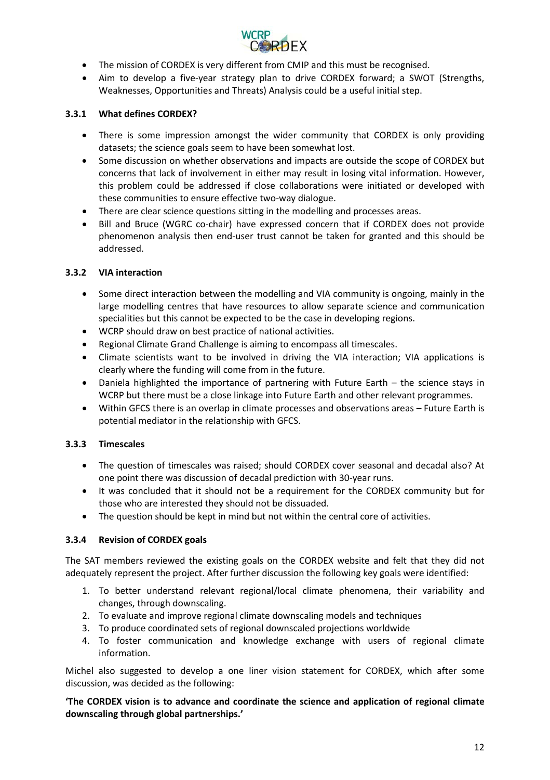

- The mission of CORDEX is very different from CMIP and this must be recognised.
- Aim to develop a five-year strategy plan to drive CORDEX forward; a SWOT (Strengths, Weaknesses, Opportunities and Threats) Analysis could be a useful initial step.

## <span id="page-11-0"></span>**3.3.1 What defines CORDEX?**

- There is some impression amongst the wider community that CORDEX is only providing datasets; the science goals seem to have been somewhat lost.
- Some discussion on whether observations and impacts are outside the scope of CORDEX but concerns that lack of involvement in either may result in losing vital information. However, this problem could be addressed if close collaborations were initiated or developed with these communities to ensure effective two-way dialogue.
- There are clear science questions sitting in the modelling and processes areas.
- Bill and Bruce (WGRC co-chair) have expressed concern that if CORDEX does not provide phenomenon analysis then end-user trust cannot be taken for granted and this should be addressed.

## <span id="page-11-1"></span>**3.3.2 VIA interaction**

- Some direct interaction between the modelling and VIA community is ongoing, mainly in the large modelling centres that have resources to allow separate science and communication specialities but this cannot be expected to be the case in developing regions.
- WCRP should draw on best practice of national activities.
- Regional Climate Grand Challenge is aiming to encompass all timescales.
- Climate scientists want to be involved in driving the VIA interaction; VIA applications is clearly where the funding will come from in the future.
- Daniela highlighted the importance of partnering with Future Earth the science stays in WCRP but there must be a close linkage into Future Earth and other relevant programmes.
- Within GFCS there is an overlap in climate processes and observations areas Future Earth is potential mediator in the relationship with GFCS.

## <span id="page-11-2"></span>**3.3.3 Timescales**

- The question of timescales was raised; should CORDEX cover seasonal and decadal also? At one point there was discussion of decadal prediction with 30-year runs.
- It was concluded that it should not be a requirement for the CORDEX community but for those who are interested they should not be dissuaded.
- The question should be kept in mind but not within the central core of activities.

## <span id="page-11-3"></span>**3.3.4 Revision of CORDEX goals**

The SAT members reviewed the existing goals on the CORDEX website and felt that they did not adequately represent the project. After further discussion the following key goals were identified:

- 1. To better understand relevant regional/local climate phenomena, their variability and changes, through downscaling.
- 2. To evaluate and improve regional climate downscaling models and techniques
- 3. To produce coordinated sets of regional downscaled projections worldwide
- 4. To foster communication and knowledge exchange with users of regional climate information.

Michel also suggested to develop a one liner vision statement for CORDEX, which after some discussion, was decided as the following:

**'The CORDEX vision is to advance and coordinate the science and application of regional climate downscaling through global partnerships.'**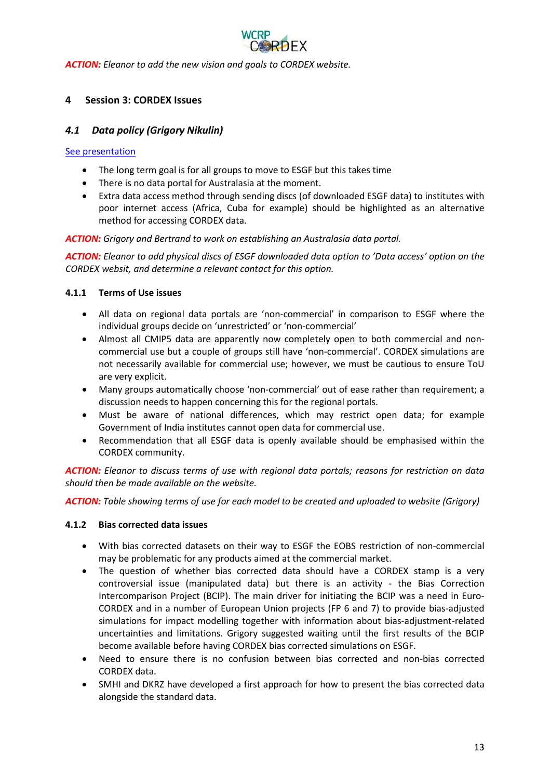

<span id="page-12-0"></span>*ACTION: Eleanor to add the new vision and goals to CORDEX website.*

## **4 Session 3: CORDEX Issues**

## <span id="page-12-1"></span>*4.1 Data policy (Grigory Nikulin)*

#### [See presentation](https://drive.google.com/open?id=0B4DbtMVupQZsazNHNGFxaGRFcG8&authuser=0)

- The long term goal is for all groups to move to ESGF but this takes time
- There is no data portal for Australasia at the moment.
- Extra data access method through sending discs (of downloaded ESGF data) to institutes with poor internet access (Africa, Cuba for example) should be highlighted as an alternative method for accessing CORDEX data.

*ACTION: Grigory and Bertrand to work on establishing an Australasia data portal.*

*ACTION: Eleanor to add physical discs of ESGF downloaded data option to 'Data access' option on the CORDEX websit, and determine a relevant contact for this option.*

#### <span id="page-12-2"></span>**4.1.1 Terms of Use issues**

- All data on regional data portals are 'non-commercial' in comparison to ESGF where the individual groups decide on 'unrestricted' or 'non-commercial'
- Almost all CMIP5 data are apparently now completely open to both commercial and noncommercial use but a couple of groups still have 'non-commercial'. CORDEX simulations are not necessarily available for commercial use; however, we must be cautious to ensure ToU are very explicit.
- Many groups automatically choose 'non-commercial' out of ease rather than requirement; a discussion needs to happen concerning this for the regional portals.
- Must be aware of national differences, which may restrict open data; for example Government of India institutes cannot open data for commercial use.
- Recommendation that all ESGF data is openly available should be emphasised within the CORDEX community.

*ACTION: Eleanor to discuss terms of use with regional data portals; reasons for restriction on data should then be made available on the website.* 

*ACTION: Table showing terms of use for each model to be created and uploaded to website (Grigory)*

#### <span id="page-12-3"></span>**4.1.2 Bias corrected data issues**

- With bias corrected datasets on their way to ESGF the EOBS restriction of non-commercial may be problematic for any products aimed at the commercial market.
- The question of whether bias corrected data should have a CORDEX stamp is a very controversial issue (manipulated data) but there is an activity - the Bias Correction Intercomparison Project (BCIP). The main driver for initiating the BCIP was a need in Euro-CORDEX and in a number of European Union projects (FP 6 and 7) to provide bias-adjusted simulations for impact modelling together with information about bias-adjustment-related uncertainties and limitations. Grigory suggested waiting until the first results of the BCIP become available before having CORDEX bias corrected simulations on ESGF.
- Need to ensure there is no confusion between bias corrected and non-bias corrected CORDEX data.
- SMHI and DKRZ have developed a first approach for how to present the bias corrected data alongside the standard data.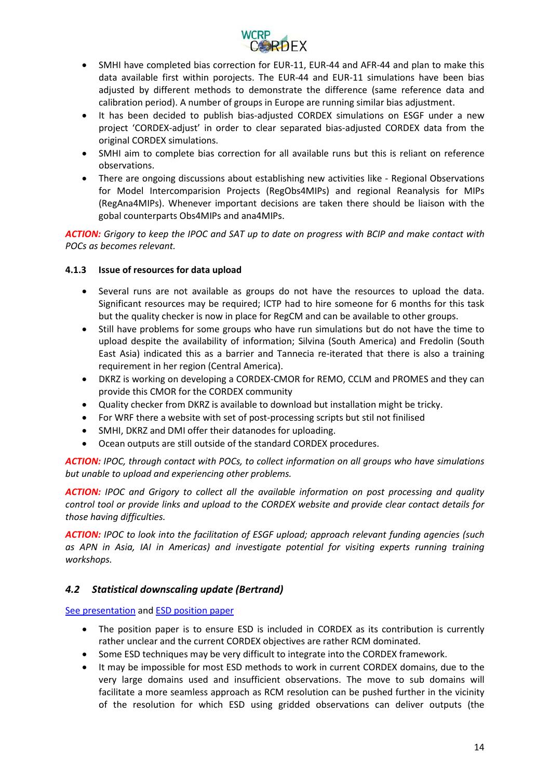

- SMHI have completed bias correction for EUR-11, EUR-44 and AFR-44 and plan to make this data available first within porojects. The EUR-44 and EUR-11 simulations have been bias adjusted by different methods to demonstrate the difference (same reference data and calibration period). A number of groups in Europe are running similar bias adjustment.
- It has been decided to publish bias-adjusted CORDEX simulations on ESGF under a new project 'CORDEX-adjust' in order to clear separated bias-adjusted CORDEX data from the original CORDEX simulations.
- SMHI aim to complete bias correction for all available runs but this is reliant on reference observations.
- There are ongoing discussions about establishing new activities like Regional Observations for Model Intercomparision Projects (RegObs4MIPs) and regional Reanalysis for MIPs (RegAna4MIPs). Whenever important decisions are taken there should be liaison with the gobal counterparts Obs4MIPs and ana4MIPs.

*ACTION: Grigory to keep the IPOC and SAT up to date on progress with BCIP and make contact with POCs as becomes relevant.*

## <span id="page-13-0"></span>**4.1.3 Issue of resources for data upload**

- Several runs are not available as groups do not have the resources to upload the data. Significant resources may be required; ICTP had to hire someone for 6 months for this task but the quality checker is now in place for RegCM and can be available to other groups.
- Still have problems for some groups who have run simulations but do not have the time to upload despite the availability of information; Silvina (South America) and Fredolin (South East Asia) indicated this as a barrier and Tannecia re-iterated that there is also a training requirement in her region (Central America).
- DKRZ is working on developing a CORDEX-CMOR for REMO, CCLM and PROMES and they can provide this CMOR for the CORDEX community
- Quality checker from DKRZ is available to download but installation might be tricky.
- For WRF there a website with set of post-processing scripts but stil not finilised
- SMHI, DKRZ and DMI offer their datanodes for uploading.
- Ocean outputs are still outside of the standard CORDEX procedures.

*ACTION: IPOC, through contact with POCs, to collect information on all groups who have simulations but unable to upload and experiencing other problems.*

*ACTION: IPOC and Grigory to collect all the available information on post processing and quality control tool or provide links and upload to the CORDEX website and provide clear contact details for those having difficulties.*

*ACTION: IPOC to look into the facilitation of ESGF upload; approach relevant funding agencies (such*  as APN in Asia, IAI in Americas) and investigate potential for visiting experts running training *workshops.*

## <span id="page-13-1"></span>*4.2 Statistical downscaling update (Bertrand)*

[See presentation](https://drive.google.com/open?id=0B4DbtMVupQZsdG9zLUZOdXhabXM&authuser=0) an[d ESD position paper](https://drive.google.com/open?id=0B4DbtMVupQZsQXNtMm5ieVNUSUU&authuser=0)

- The position paper is to ensure ESD is included in CORDEX as its contribution is currently rather unclear and the current CORDEX objectives are rather RCM dominated.
- Some ESD techniques may be very difficult to integrate into the CORDEX framework.
- It may be impossible for most ESD methods to work in current CORDEX domains, due to the very large domains used and insufficient observations. The move to sub domains will facilitate a more seamless approach as RCM resolution can be pushed further in the vicinity of the resolution for which ESD using gridded observations can deliver outputs (the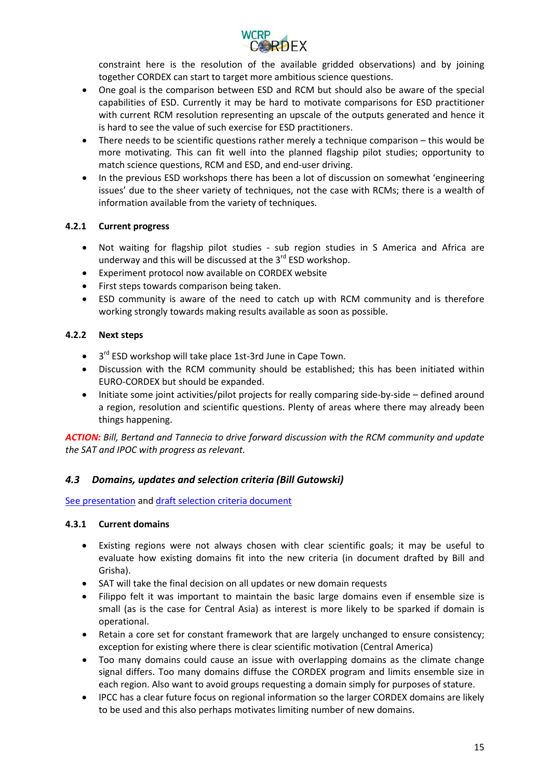

constraint here is the resolution of the available gridded observations) and by joining together CORDEX can start to target more ambitious science questions.

- One goal is the comparison between ESD and RCM but should also be aware of the special capabilities of ESD. Currently it may be hard to motivate comparisons for ESD practitioner with current RCM resolution representing an upscale of the outputs generated and hence it is hard to see the value of such exercise for ESD practitioners.
- There needs to be scientific questions rather merely a technique comparison this would be more motivating. This can fit well into the planned flagship pilot studies; opportunity to match science questions, RCM and ESD, and end-user driving.
- In the previous ESD workshops there has been a lot of discussion on somewhat 'engineering issues' due to the sheer variety of techniques, not the case with RCMs; there is a wealth of information available from the variety of techniques.

## <span id="page-14-0"></span>**4.2.1 Current progress**

- Not waiting for flagship pilot studies sub region studies in S America and Africa are underway and this will be discussed at the  $3^{rd}$  ESD workshop.
- Experiment protocol now available on CORDEX website
- First steps towards comparison being taken.
- ESD community is aware of the need to catch up with RCM community and is therefore working strongly towards making results available as soon as possible.

## <span id="page-14-1"></span>**4.2.2 Next steps**

- $\bullet$  3<sup>rd</sup> ESD workshop will take place 1st-3rd June in Cape Town.
- Discussion with the RCM community should be established; this has been initiated within EURO-CORDEX but should be expanded.
- Initiate some joint activities/pilot projects for really comparing side-by-side defined around a region, resolution and scientific questions. Plenty of areas where there may already been things happening.

*ACTION: Bill, Bertand and Tannecia to drive forward discussion with the RCM community and update the SAT and IPOC with progress as relevant.*

## <span id="page-14-2"></span>*4.3 Domains, updates and selection criteria (Bill Gutowski)*

[See presentation](https://drive.google.com/open?id=0B4DbtMVupQZsRnRpcTlMY2pJQUU&authuser=0) an[d draft selection criteria document](https://drive.google.com/open?id=0B4DbtMVupQZsTzRTUkZCYjhsRkk&authuser=0)

#### <span id="page-14-3"></span>**4.3.1 Current domains**

- Existing regions were not always chosen with clear scientific goals; it may be useful to evaluate how existing domains fit into the new criteria (in document drafted by Bill and Grisha).
- SAT will take the final decision on all updates or new domain requests
- Filippo felt it was important to maintain the basic large domains even if ensemble size is small (as is the case for Central Asia) as interest is more likely to be sparked if domain is operational.
- Retain a core set for constant framework that are largely unchanged to ensure consistency; exception for existing where there is clear scientific motivation (Central America)
- Too many domains could cause an issue with overlapping domains as the climate change signal differs. Too many domains diffuse the CORDEX program and limits ensemble size in each region. Also want to avoid groups requesting a domain simply for purposes of stature.
- IPCC has a clear future focus on regional information so the larger CORDEX domains are likely to be used and this also perhaps motivates limiting number of new domains.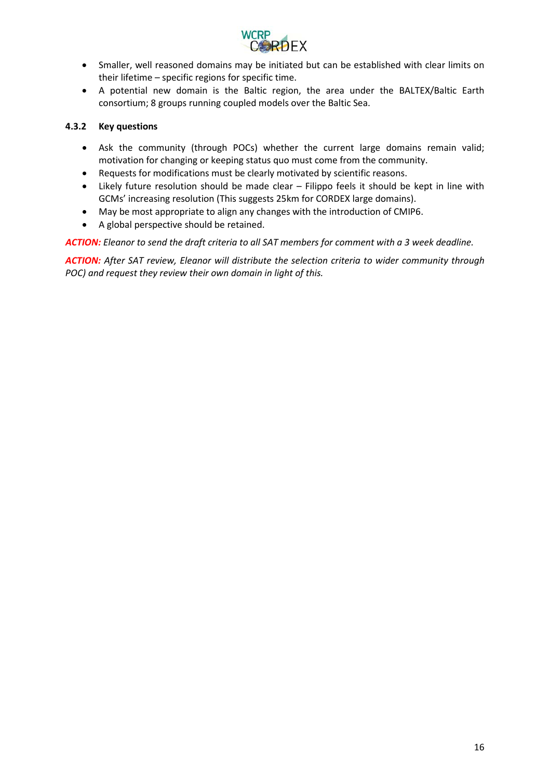

- Smaller, well reasoned domains may be initiated but can be established with clear limits on their lifetime – specific regions for specific time.
- A potential new domain is the Baltic region, the area under the BALTEX/Baltic Earth consortium; 8 groups running coupled models over the Baltic Sea.

### <span id="page-15-0"></span>**4.3.2 Key questions**

- Ask the community (through POCs) whether the current large domains remain valid; motivation for changing or keeping status quo must come from the community.
- Requests for modifications must be clearly motivated by scientific reasons.
- Likely future resolution should be made clear Filippo feels it should be kept in line with GCMs' increasing resolution (This suggests 25km for CORDEX large domains).
- May be most appropriate to align any changes with the introduction of CMIP6.
- A global perspective should be retained.

*ACTION: Eleanor to send the draft criteria to all SAT members for comment with a 3 week deadline.*

*ACTION: After SAT review, Eleanor will distribute the selection criteria to wider community through POC) and request they review their own domain in light of this.*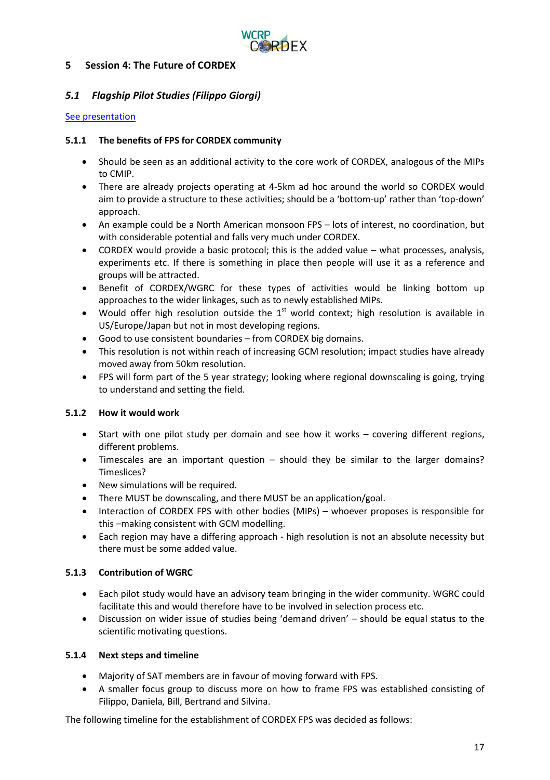

## <span id="page-16-0"></span>**5 Session 4: The Future of CORDEX**

## <span id="page-16-1"></span>*5.1 Flagship Pilot Studies (Filippo Giorgi)*

#### [See presentation](https://drive.google.com/open?id=0B4DbtMVupQZsR1pXUVFDUGxLRnM&authuser=0)

#### <span id="page-16-2"></span>**5.1.1 The benefits of FPS for CORDEX community**

- Should be seen as an additional activity to the core work of CORDEX, analogous of the MIPs to CMIP.
- There are already projects operating at 4-5km ad hoc around the world so CORDEX would aim to provide a structure to these activities; should be a 'bottom-up' rather than 'top-down' approach.
- An example could be a North American monsoon FPS lots of interest, no coordination, but with considerable potential and falls very much under CORDEX.
- CORDEX would provide a basic protocol; this is the added value what processes, analysis, experiments etc. If there is something in place then people will use it as a reference and groups will be attracted.
- Benefit of CORDEX/WGRC for these types of activities would be linking bottom up approaches to the wider linkages, such as to newly established MIPs.
- Would offer high resolution outside the  $1<sup>st</sup>$  world context; high resolution is available in US/Europe/Japan but not in most developing regions.
- Good to use consistent boundaries from CORDEX big domains.
- This resolution is not within reach of increasing GCM resolution; impact studies have already moved away from 50km resolution.
- FPS will form part of the 5 year strategy; looking where regional downscaling is going, trying to understand and setting the field.

## <span id="page-16-3"></span>**5.1.2 How it would work**

- Start with one pilot study per domain and see how it works covering different regions, different problems.
- Timescales are an important question should they be similar to the larger domains? Timeslices?
- New simulations will be required.
- There MUST be downscaling, and there MUST be an application/goal.
- Interaction of CORDEX FPS with other bodies (MIPs) whoever proposes is responsible for this –making consistent with GCM modelling.
- Each region may have a differing approach high resolution is not an absolute necessity but there must be some added value.

## <span id="page-16-4"></span>**5.1.3 Contribution of WGRC**

- Each pilot study would have an advisory team bringing in the wider community. WGRC could facilitate this and would therefore have to be involved in selection process etc.
- Discussion on wider issue of studies being 'demand driven' should be equal status to the scientific motivating questions.

## <span id="page-16-5"></span>**5.1.4 Next steps and timeline**

- Majority of SAT members are in favour of moving forward with FPS.
- A smaller focus group to discuss more on how to frame FPS was established consisting of Filippo, Daniela, Bill, Bertrand and Silvina.

The following timeline for the establishment of CORDEX FPS was decided as follows: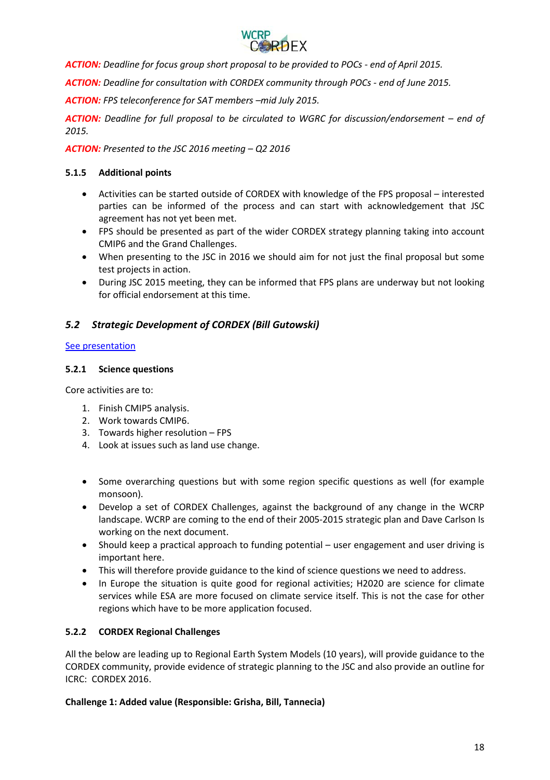

*ACTION: Deadline for focus group short proposal to be provided to POCs - end of April 2015.*

*ACTION: Deadline for consultation with CORDEX community through POCs - end of June 2015.*

*ACTION: FPS teleconference for SAT members –mid July 2015.*

*ACTION: Deadline for full proposal to be circulated to WGRC for discussion/endorsement – end of 2015.*

*ACTION: Presented to the JSC 2016 meeting – Q2 2016*

## <span id="page-17-0"></span>**5.1.5 Additional points**

- Activities can be started outside of CORDEX with knowledge of the FPS proposal interested parties can be informed of the process and can start with acknowledgement that JSC agreement has not yet been met.
- FPS should be presented as part of the wider CORDEX strategy planning taking into account CMIP6 and the Grand Challenges.
- When presenting to the JSC in 2016 we should aim for not just the final proposal but some test projects in action.
- During JSC 2015 meeting, they can be informed that FPS plans are underway but not looking for official endorsement at this time.

## <span id="page-17-1"></span>*5.2 Strategic Development of CORDEX (Bill Gutowski)*

#### [See presentation](https://drive.google.com/open?id=0B4DbtMVupQZsWk9UR2phRkk5REE&authuser=0)

#### <span id="page-17-2"></span>**5.2.1 Science questions**

Core activities are to:

- 1. Finish CMIP5 analysis.
- 2. Work towards CMIP6.
- 3. Towards higher resolution FPS
- 4. Look at issues such as land use change.
- Some overarching questions but with some region specific questions as well (for example monsoon).
- Develop a set of CORDEX Challenges, against the background of any change in the WCRP landscape. WCRP are coming to the end of their 2005-2015 strategic plan and Dave Carlson Is working on the next document.
- Should keep a practical approach to funding potential user engagement and user driving is important here.
- This will therefore provide guidance to the kind of science questions we need to address.
- In Europe the situation is quite good for regional activities; H2020 are science for climate services while ESA are more focused on climate service itself. This is not the case for other regions which have to be more application focused.

## <span id="page-17-3"></span>**5.2.2 CORDEX Regional Challenges**

All the below are leading up to Regional Earth System Models (10 years), will provide guidance to the CORDEX community, provide evidence of strategic planning to the JSC and also provide an outline for ICRC: CORDEX 2016.

#### **Challenge 1: Added value (Responsible: Grisha, Bill, Tannecia)**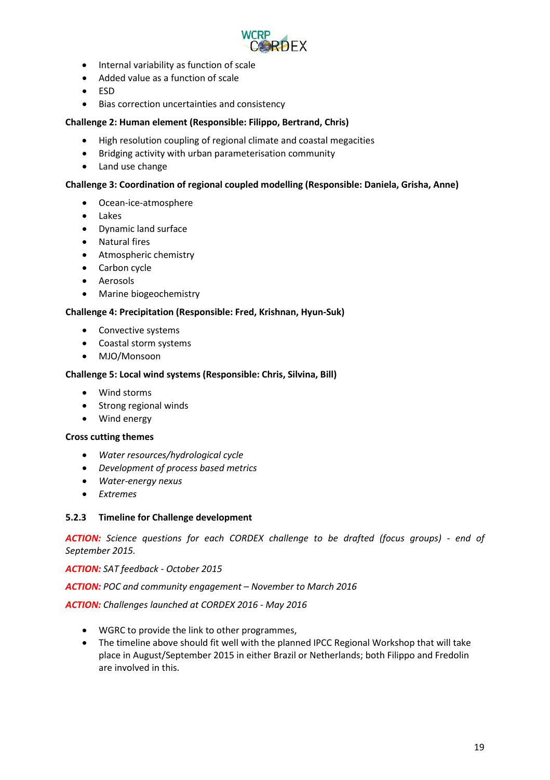

- Internal variability as function of scale
- Added value as a function of scale
- ESD
- Bias correction uncertainties and consistency

### **Challenge 2: Human element (Responsible: Filippo, Bertrand, Chris)**

- High resolution coupling of regional climate and coastal megacities
- Bridging activity with urban parameterisation community
- Land use change

#### **Challenge 3: Coordination of regional coupled modelling (Responsible: Daniela, Grisha, Anne)**

- Ocean-ice-atmosphere
- Lakes
- Dynamic land surface
- Natural fires
- Atmospheric chemistry
- Carbon cycle
- Aerosols
- Marine biogeochemistry

#### **Challenge 4: Precipitation (Responsible: Fred, Krishnan, Hyun-Suk)**

- Convective systems
- Coastal storm systems
- MJO/Monsoon

#### **Challenge 5: Local wind systems (Responsible: Chris, Silvina, Bill)**

- Wind storms
- Strong regional winds
- Wind energy

#### **Cross cutting themes**

- *Water resources/hydrological cycle*
- *Development of process based metrics*
- *Water-energy nexus*
- *Extremes*

#### <span id="page-18-0"></span>**5.2.3 Timeline for Challenge development**

*ACTION: Science questions for each CORDEX challenge to be drafted (focus groups) - end of September 2015.*

*ACTION: SAT feedback - October 2015*

*ACTION: POC and community engagement – November to March 2016* 

*ACTION: Challenges launched at CORDEX 2016 - May 2016* 

- WGRC to provide the link to other programmes,
- The timeline above should fit well with the planned IPCC Regional Workshop that will take place in August/September 2015 in either Brazil or Netherlands; both Filippo and Fredolin are involved in this.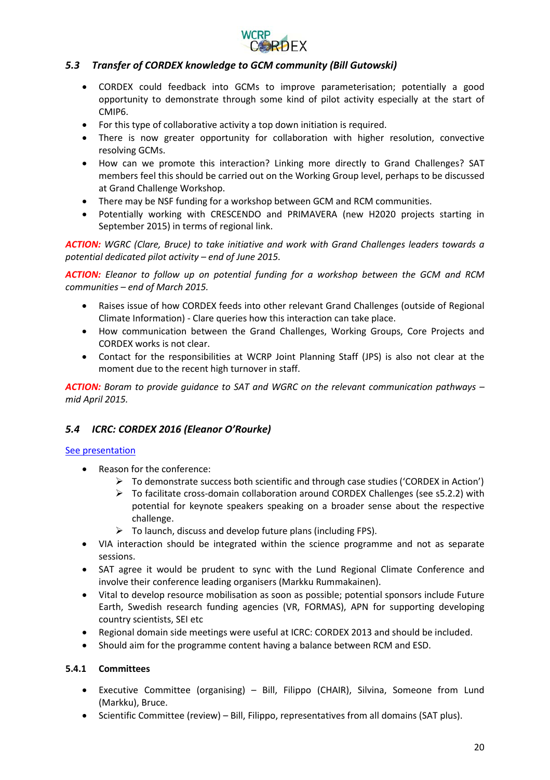

## <span id="page-19-0"></span>*5.3 Transfer of CORDEX knowledge to GCM community (Bill Gutowski)*

- CORDEX could feedback into GCMs to improve parameterisation; potentially a good opportunity to demonstrate through some kind of pilot activity especially at the start of CMIP6.
- For this type of collaborative activity a top down initiation is required.
- There is now greater opportunity for collaboration with higher resolution, convective resolving GCMs.
- How can we promote this interaction? Linking more directly to Grand Challenges? SAT members feel this should be carried out on the Working Group level, perhaps to be discussed at Grand Challenge Workshop.
- There may be NSF funding for a workshop between GCM and RCM communities.
- Potentially working with CRESCENDO and PRIMAVERA (new H2020 projects starting in September 2015) in terms of regional link.

*ACTION: WGRC (Clare, Bruce) to take initiative and work with Grand Challenges leaders towards a potential dedicated pilot activity – end of June 2015.*

*ACTION: Eleanor to follow up on potential funding for a workshop between the GCM and RCM communities – end of March 2015.*

- Raises issue of how CORDEX feeds into other relevant Grand Challenges (outside of Regional Climate Information) - Clare queries how this interaction can take place.
- How communication between the Grand Challenges, Working Groups, Core Projects and CORDEX works is not clear.
- Contact for the responsibilities at WCRP Joint Planning Staff (JPS) is also not clear at the moment due to the recent high turnover in staff.

*ACTION: Boram to provide guidance to SAT and WGRC on the relevant communication pathways – mid April 2015.*

## <span id="page-19-1"></span>*5.4 ICRC: CORDEX 2016 (Eleanor O'Rourke)*

#### [See presentation](https://drive.google.com/open?id=0B4DbtMVupQZsbHUtS1pZX3ByRWc&authuser=0)

- Reason for the conference:
	- $\triangleright$  To demonstrate success both scientific and through case studies ('CORDEX in Action')
	- $\triangleright$  To facilitate cross-domain collaboration around CORDEX Challenges (see s5.2.2) with potential for keynote speakers speaking on a broader sense about the respective challenge.
	- $\triangleright$  To launch, discuss and develop future plans (including FPS).
- VIA interaction should be integrated within the science programme and not as separate sessions.
- SAT agree it would be prudent to sync with the Lund Regional Climate Conference and involve their conference leading organisers (Markku Rummakainen).
- Vital to develop resource mobilisation as soon as possible; potential sponsors include Future Earth, Swedish research funding agencies (VR, FORMAS), APN for supporting developing country scientists, SEI etc
- Regional domain side meetings were useful at ICRC: CORDEX 2013 and should be included.
- Should aim for the programme content having a balance between RCM and ESD.

#### <span id="page-19-2"></span>**5.4.1 Committees**

- Executive Committee (organising) Bill, Filippo (CHAIR), Silvina, Someone from Lund (Markku), Bruce.
- Scientific Committee (review) Bill, Filippo, representatives from all domains (SAT plus).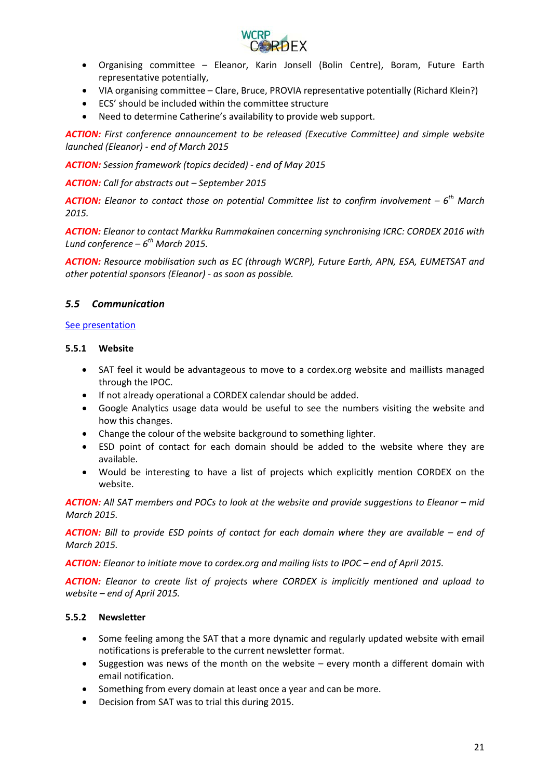

- Organising committee Eleanor, Karin Jonsell (Bolin Centre), Boram, Future Earth representative potentially,
- VIA organising committee Clare, Bruce, PROVIA representative potentially (Richard Klein?)
- ECS' should be included within the committee structure
- Need to determine Catherine's availability to provide web support.

*ACTION: First conference announcement to be released (Executive Committee) and simple website launched (Eleanor) - end of March 2015*

*ACTION: Session framework (topics decided) - end of May 2015*

*ACTION: Call for abstracts out – September 2015*

*ACTION: Eleanor to contact those on potential Committee list to confirm involvement – 6th March 2015.*

*ACTION: Eleanor to contact Markku Rummakainen concerning synchronising ICRC: CORDEX 2016 with Lund conference – 6th March 2015.*

*ACTION: Resource mobilisation such as EC (through WCRP), Future Earth, APN, ESA, EUMETSAT and other potential sponsors (Eleanor) - as soon as possible.*

## <span id="page-20-0"></span>*5.5 Communication*

#### [See presentation](https://drive.google.com/open?id=0B4DbtMVupQZseWtleEh4bDZLMXM&authuser=0)

## <span id="page-20-1"></span>**5.5.1 Website**

- SAT feel it would be advantageous to move to a cordex.org website and maillists managed through the IPOC.
- If not already operational a CORDEX calendar should be added.
- Google Analytics usage data would be useful to see the numbers visiting the website and how this changes.
- Change the colour of the website background to something lighter.
- ESD point of contact for each domain should be added to the website where they are available.
- Would be interesting to have a list of projects which explicitly mention CORDEX on the website.

*ACTION: All SAT members and POCs to look at the website and provide suggestions to Eleanor – mid March 2015.*

*ACTION: Bill to provide ESD points of contact for each domain where they are available – end of March 2015.*

*ACTION: Eleanor to initiate move to cordex.org and mailing lists to IPOC – end of April 2015.*

*ACTION: Eleanor to create list of projects where CORDEX is implicitly mentioned and upload to website – end of April 2015.*

## <span id="page-20-2"></span>**5.5.2 Newsletter**

- Some feeling among the SAT that a more dynamic and regularly updated website with email notifications is preferable to the current newsletter format.
- Suggestion was news of the month on the website every month a different domain with email notification.
- Something from every domain at least once a year and can be more.
- Decision from SAT was to trial this during 2015.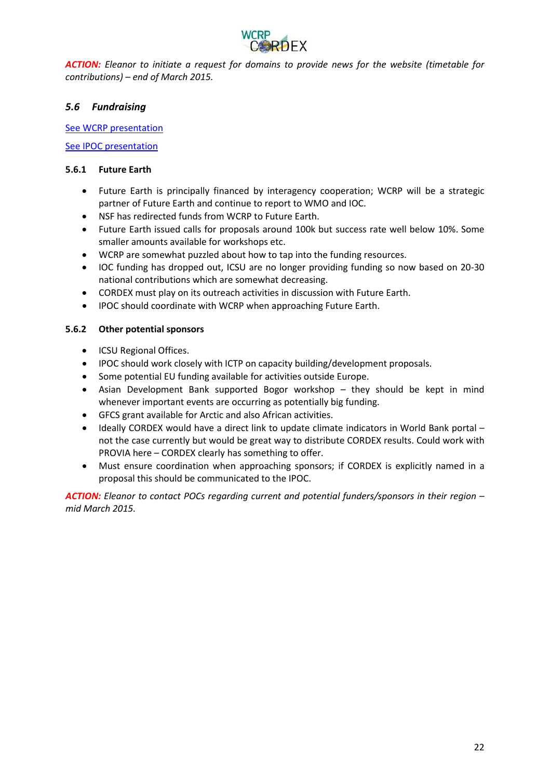

*ACTION: Eleanor to initiate a request for domains to provide news for the website (timetable for contributions) – end of March 2015.*

## <span id="page-21-0"></span>*5.6 Fundraising*

**[See WCRP presentation](https://drive.google.com/open?id=0B4DbtMVupQZsTTFDdXY2VmNOSms&authuser=0)** 

[See IPOC presentation](https://drive.google.com/open?id=0B4DbtMVupQZsSHQzVllOel9fZHM&authuser=0)

#### <span id="page-21-1"></span>**5.6.1 Future Earth**

- Future Earth is principally financed by interagency cooperation; WCRP will be a strategic partner of Future Earth and continue to report to WMO and IOC.
- NSF has redirected funds from WCRP to Future Earth.
- Future Earth issued calls for proposals around 100k but success rate well below 10%. Some smaller amounts available for workshops etc.
- WCRP are somewhat puzzled about how to tap into the funding resources.
- IOC funding has dropped out, ICSU are no longer providing funding so now based on 20-30 national contributions which are somewhat decreasing.
- CORDEX must play on its outreach activities in discussion with Future Earth.
- IPOC should coordinate with WCRP when approaching Future Earth.

## <span id="page-21-2"></span>**5.6.2 Other potential sponsors**

- ICSU Regional Offices.
- IPOC should work closely with ICTP on capacity building/development proposals.
- Some potential EU funding available for activities outside Europe.
- Asian Development Bank supported Bogor workshop they should be kept in mind whenever important events are occurring as potentially big funding.
- GFCS grant available for Arctic and also African activities.
- Ideally CORDEX would have a direct link to update climate indicators in World Bank portal not the case currently but would be great way to distribute CORDEX results. Could work with PROVIA here – CORDEX clearly has something to offer.
- Must ensure coordination when approaching sponsors; if CORDEX is explicitly named in a proposal this should be communicated to the IPOC.

*ACTION: Eleanor to contact POCs regarding current and potential funders/sponsors in their region – mid March 2015.*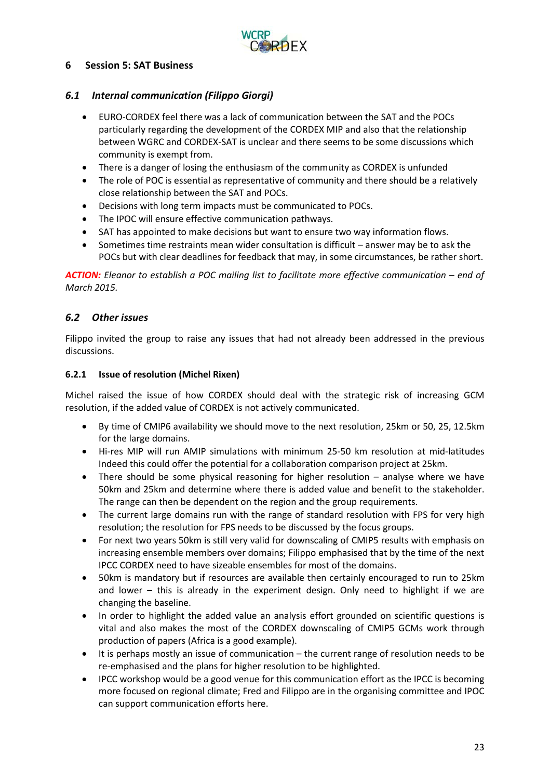

## <span id="page-22-0"></span>**6 Session 5: SAT Business**

## <span id="page-22-1"></span>*6.1 Internal communication (Filippo Giorgi)*

- EURO-CORDEX feel there was a lack of communication between the SAT and the POCs particularly regarding the development of the CORDEX MIP and also that the relationship between WGRC and CORDEX-SAT is unclear and there seems to be some discussions which community is exempt from.
- There is a danger of losing the enthusiasm of the community as CORDEX is unfunded
- The role of POC is essential as representative of community and there should be a relatively close relationship between the SAT and POCs.
- Decisions with long term impacts must be communicated to POCs.
- The IPOC will ensure effective communication pathways.
- SAT has appointed to make decisions but want to ensure two way information flows.
- Sometimes time restraints mean wider consultation is difficult answer may be to ask the POCs but with clear deadlines for feedback that may, in some circumstances, be rather short.

*ACTION: Eleanor to establish a POC mailing list to facilitate more effective communication – end of March 2015.*

## <span id="page-22-2"></span>*6.2 Other issues*

Filippo invited the group to raise any issues that had not already been addressed in the previous discussions.

#### <span id="page-22-3"></span>**6.2.1 Issue of resolution (Michel Rixen)**

Michel raised the issue of how CORDEX should deal with the strategic risk of increasing GCM resolution, if the added value of CORDEX is not actively communicated.

- By time of CMIP6 availability we should move to the next resolution, 25km or 50, 25, 12.5km for the large domains.
- Hi-res MIP will run AMIP simulations with minimum 25-50 km resolution at mid-latitudes Indeed this could offer the potential for a collaboration comparison project at 25km.
- There should be some physical reasoning for higher resolution analyse where we have 50km and 25km and determine where there is added value and benefit to the stakeholder. The range can then be dependent on the region and the group requirements.
- The current large domains run with the range of standard resolution with FPS for very high resolution; the resolution for FPS needs to be discussed by the focus groups.
- For next two years 50km is still very valid for downscaling of CMIP5 results with emphasis on increasing ensemble members over domains; Filippo emphasised that by the time of the next IPCC CORDEX need to have sizeable ensembles for most of the domains.
- 50km is mandatory but if resources are available then certainly encouraged to run to 25km and lower – this is already in the experiment design. Only need to highlight if we are changing the baseline.
- In order to highlight the added value an analysis effort grounded on scientific questions is vital and also makes the most of the CORDEX downscaling of CMIP5 GCMs work through production of papers (Africa is a good example).
- It is perhaps mostly an issue of communication the current range of resolution needs to be re-emphasised and the plans for higher resolution to be highlighted.
- IPCC workshop would be a good venue for this communication effort as the IPCC is becoming more focused on regional climate; Fred and Filippo are in the organising committee and IPOC can support communication efforts here.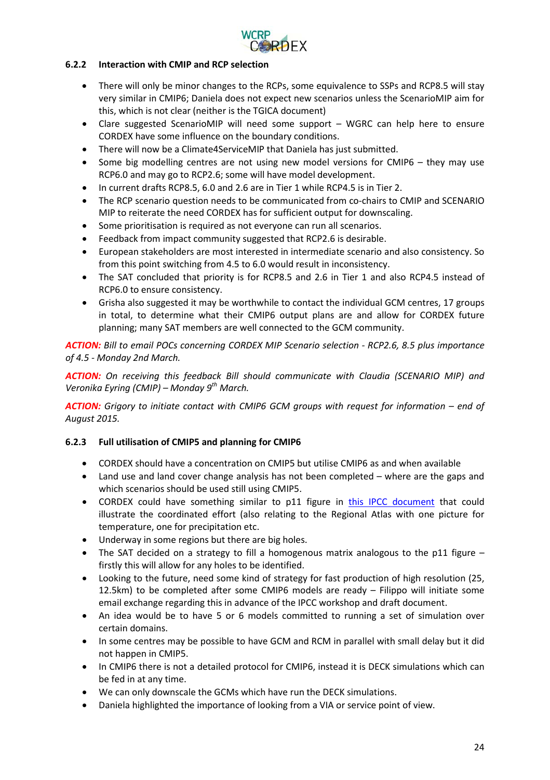

## <span id="page-23-0"></span>**6.2.2 Interaction with CMIP and RCP selection**

- There will only be minor changes to the RCPs, some equivalence to SSPs and RCP8.5 will stay very similar in CMIP6; Daniela does not expect new scenarios unless the ScenarioMIP aim for this, which is not clear (neither is the TGICA document)
- Clare suggested ScenarioMIP will need some support WGRC can help here to ensure CORDEX have some influence on the boundary conditions.
- There will now be a Climate4ServiceMIP that Daniela has just submitted.
- Some big modelling centres are not using new model versions for CMIP6 they may use RCP6.0 and may go to RCP2.6; some will have model development.
- In current drafts RCP8.5, 6.0 and 2.6 are in Tier 1 while RCP4.5 is in Tier 2.
- The RCP scenario question needs to be communicated from co-chairs to CMIP and SCENARIO MIP to reiterate the need CORDEX has for sufficient output for downscaling.
- Some prioritisation is required as not everyone can run all scenarios.
- Feedback from impact community suggested that RCP2.6 is desirable.
- European stakeholders are most interested in intermediate scenario and also consistency. So from this point switching from 4.5 to 6.0 would result in inconsistency.
- The SAT concluded that priority is for RCP8.5 and 2.6 in Tier 1 and also RCP4.5 instead of RCP6.0 to ensure consistency.
- Grisha also suggested it may be worthwhile to contact the individual GCM centres, 17 groups in total, to determine what their CMIP6 output plans are and allow for CORDEX future planning; many SAT members are well connected to the GCM community.

*ACTION: Bill to email POCs concerning CORDEX MIP Scenario selection - RCP2.6, 8.5 plus importance of 4.5 - Monday 2nd March.*

*ACTION: On receiving this feedback Bill should communicate with Claudia (SCENARIO MIP) and Veronika Eyring (CMIP) – Monday 9th March.*

*ACTION: Grigory to initiate contact with CMIP6 GCM groups with request for information – end of August 2015.*

## <span id="page-23-1"></span>**6.2.3 Full utilisation of CMIP5 and planning for CMIP6**

- CORDEX should have a concentration on CMIP5 but utilise CMIP6 as and when available
- Land use and land cover change analysis has not been completed where are the gaps and which scenarios should be used still using CMIP5.
- CORDEX could have something similar to p11 figure in [this IPCC document](https://drive.google.com/open?id=0B4DbtMVupQZsZHFia1d2VXp6eUU&authuser=0) that could illustrate the coordinated effort (also relating to the Regional Atlas with one picture for temperature, one for precipitation etc.
- Underway in some regions but there are big holes.
- The SAT decided on a strategy to fill a homogenous matrix analogous to the p11 figure firstly this will allow for any holes to be identified.
- Looking to the future, need some kind of strategy for fast production of high resolution (25, 12.5km) to be completed after some CMIP6 models are ready – Filippo will initiate some email exchange regarding this in advance of the IPCC workshop and draft document.
- An idea would be to have 5 or 6 models committed to running a set of simulation over certain domains.
- In some centres may be possible to have GCM and RCM in parallel with small delay but it did not happen in CMIP5.
- In CMIP6 there is not a detailed protocol for CMIP6, instead it is DECK simulations which can be fed in at any time.
- We can only downscale the GCMs which have run the DECK simulations.
- Daniela highlighted the importance of looking from a VIA or service point of view.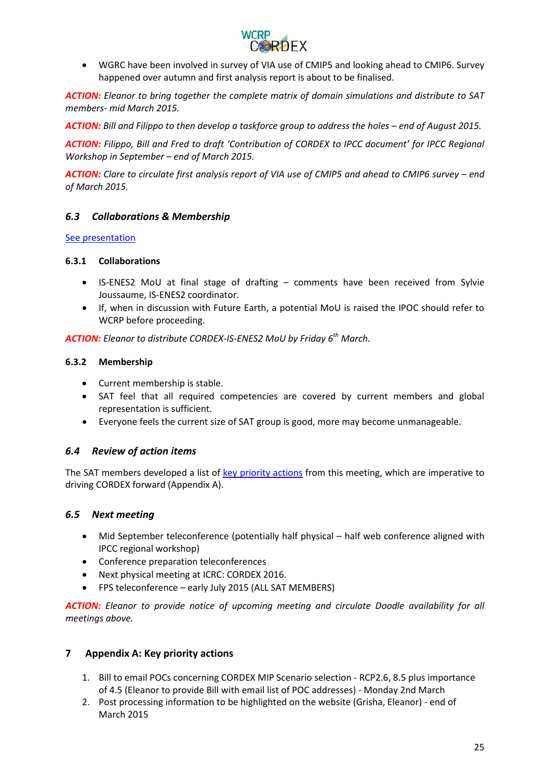

• WGRC have been involved in survey of VIA use of CMIP5 and looking ahead to CMIP6. Survey happened over autumn and first analysis report is about to be finalised.

*ACTION: Eleanor to bring together the complete matrix of domain simulations and distribute to SAT members- mid March 2015.*

*ACTION: Bill and Filippo to then develop a taskforce group to address the holes – end of August 2015.*

*ACTION: Filippo, Bill and Fred to draft 'Contribution of CORDEX to IPCC document' for IPCC Regional Workshop in September – end of March 2015.*

*ACTION: Clare to circulate first analysis report of VIA use of CMIP5 and ahead to CMIP6 survey – end of March 2015.*

## <span id="page-24-0"></span>*6.3 Collaborations & Membership*

#### [See presentation](https://drive.google.com/open?id=0B4DbtMVupQZsTFpLemtERDFNQlE&authuser=0)

#### <span id="page-24-1"></span>**6.3.1 Collaborations**

- IS-ENES2 MoU at final stage of drafting comments have been received from Sylvie Joussaume, IS-ENES2 coordinator.
- If, when in discussion with Future Earth, a potential MoU is raised the IPOC should refer to WCRP before proceeding.

*ACTION: Eleanor to distribute CORDEX-IS-ENES2 MoU by Friday 6th March.*

#### <span id="page-24-2"></span>**6.3.2 Membership**

- Current membership is stable.
- SAT feel that all required competencies are covered by current members and global representation is sufficient.
- Everyone feels the current size of SAT group is good, more may become unmanageable.

#### <span id="page-24-3"></span>*6.4 Review of action items*

The SAT members developed a list of [key priority actions](https://drive.google.com/open?id=0B4DbtMVupQZscjlzUW5JVjQxbGM&authuser=0) from this meeting, which are imperative to driving CORDEX forward (Appendix A).

#### <span id="page-24-4"></span>*6.5 Next meeting*

- Mid September teleconference (potentially half physical half web conference aligned with IPCC regional workshop)
- Conference preparation teleconferences
- Next physical meeting at ICRC: CORDEX 2016.
- FPS teleconference early July 2015 (ALL SAT MEMBERS)

*ACTION: Eleanor to provide notice of upcoming meeting and circulate Doodle availability for all meetings above.*

#### <span id="page-24-5"></span>**7 Appendix A: Key priority actions**

- 1. Bill to email POCs concerning CORDEX MIP Scenario selection RCP2.6, 8.5 plus importance of 4.5 (Eleanor to provide Bill with email list of POC addresses) - Monday 2nd March
- 2. Post processing information to be highlighted on the website (Grisha, Eleanor) end of March 2015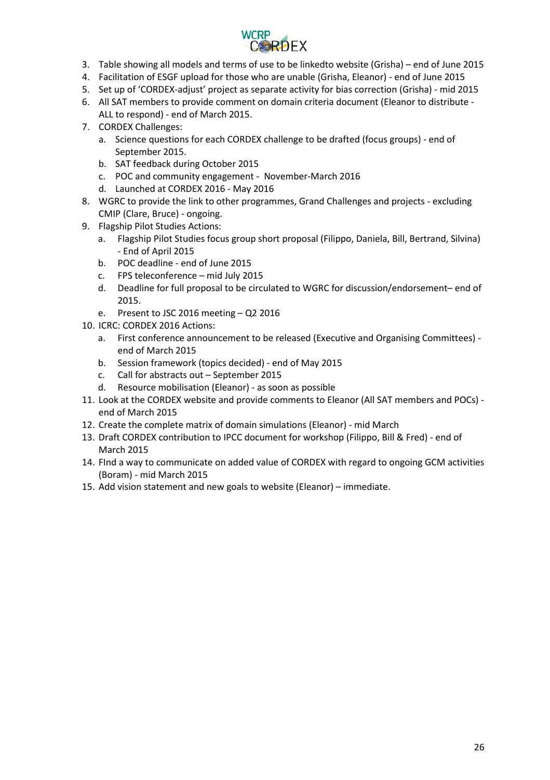

- 3. Table showing all models and terms of use to be linkedto website (Grisha) end of June 2015
- 4. Facilitation of ESGF upload for those who are unable (Grisha, Eleanor) end of June 2015
- 5. Set up of 'CORDEX-adjust' project as separate activity for bias correction (Grisha) mid 2015
- 6. All SAT members to provide comment on domain criteria document (Eleanor to distribute ALL to respond) - end of March 2015.
- 7. CORDEX Challenges:
	- a. Science questions for each CORDEX challenge to be drafted (focus groups) end of September 2015.
	- b. SAT feedback during October 2015
	- c. POC and community engagement November-March 2016
	- d. Launched at CORDEX 2016 May 2016
- 8. WGRC to provide the link to other programmes, Grand Challenges and projects excluding CMIP (Clare, Bruce) - ongoing.
- 9. Flagship Pilot Studies Actions:
	- a. Flagship Pilot Studies focus group short proposal (Filippo, Daniela, Bill, Bertrand, Silvina) - End of April 2015
	- b. POC deadline end of June 2015
	- c. FPS teleconference mid July 2015
	- d. Deadline for full proposal to be circulated to WGRC for discussion/endorsement– end of 2015.
	- e. Present to JSC 2016 meeting Q2 2016
- 10. ICRC: CORDEX 2016 Actions:
	- a. First conference announcement to be released (Executive and Organising Committees) end of March 2015
	- b. Session framework (topics decided) end of May 2015
	- c. Call for abstracts out September 2015
	- d. Resource mobilisation (Eleanor) as soon as possible
- 11. Look at the CORDEX website and provide comments to Eleanor (All SAT members and POCs) end of March 2015
- 12. Create the complete matrix of domain simulations (Eleanor) mid March
- 13. Draft CORDEX contribution to IPCC document for workshop (Filippo, Bill & Fred) end of March 2015
- 14. FInd a way to communicate on added value of CORDEX with regard to ongoing GCM activities (Boram) - mid March 2015
- 15. Add vision statement and new goals to website (Eleanor) immediate.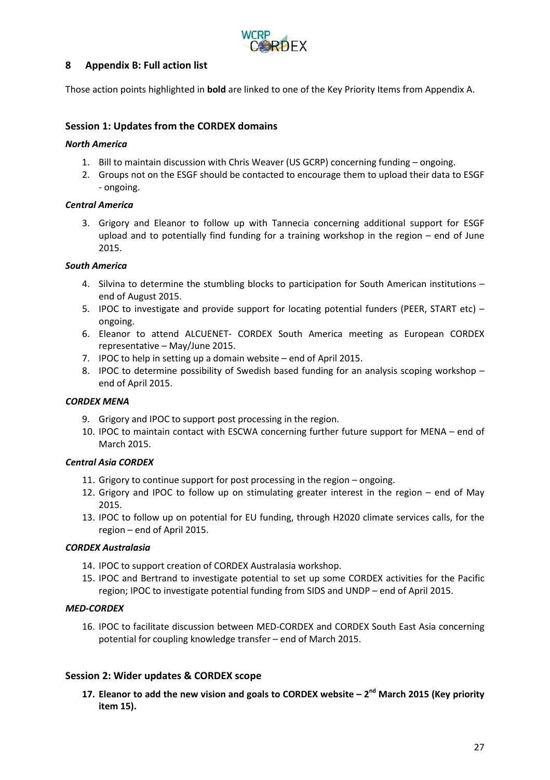

## <span id="page-26-0"></span>**8 Appendix B: Full action list**

Those action points highlighted in **bold** are linked to one of the Key Priority Items from Appendix A.

#### **Session 1: Updates from the CORDEX domains**

#### *North America*

- 1. Bill to maintain discussion with Chris Weaver (US GCRP) concerning funding ongoing.
- 2. Groups not on the ESGF should be contacted to encourage them to upload their data to ESGF - ongoing.

#### *Central America*

3. Grigory and Eleanor to follow up with Tannecia concerning additional support for ESGF upload and to potentially find funding for a training workshop in the region – end of June 2015.

#### *South America*

- 4. Silvina to determine the stumbling blocks to participation for South American institutions end of August 2015.
- 5. IPOC to investigate and provide support for locating potential funders (PEER, START etc) ongoing.
- 6. Eleanor to attend ALCUENET- CORDEX South America meeting as European CORDEX representative – May/June 2015.
- 7. IPOC to help in setting up a domain website end of April 2015.
- 8. IPOC to determine possibility of Swedish based funding for an analysis scoping workshop end of April 2015.

#### *CORDEX MENA*

- 9. Grigory and IPOC to support post processing in the region.
- 10. IPOC to maintain contact with ESCWA concerning further future support for MENA end of March 2015.

#### *Central Asia CORDEX*

- 11. Grigory to continue support for post processing in the region ongoing.
- 12. Grigory and IPOC to follow up on stimulating greater interest in the region end of May 2015.
- 13. IPOC to follow up on potential for EU funding, through H2020 climate services calls, for the region – end of April 2015.

#### *CORDEX Australasia*

- 14. IPOC to support creation of CORDEX Australasia workshop.
- 15. IPOC and Bertrand to investigate potential to set up some CORDEX activities for the Pacific region; IPOC to investigate potential funding from SIDS and UNDP – end of April 2015.

#### *MED-CORDEX*

16. IPOC to facilitate discussion between MED-CORDEX and CORDEX South East Asia concerning potential for coupling knowledge transfer – end of March 2015.

#### **Session 2: Wider updates & CORDEX scope**

**17. Eleanor to add the new vision and goals to CORDEX website – 2nd March 2015 (Key priority item 15).**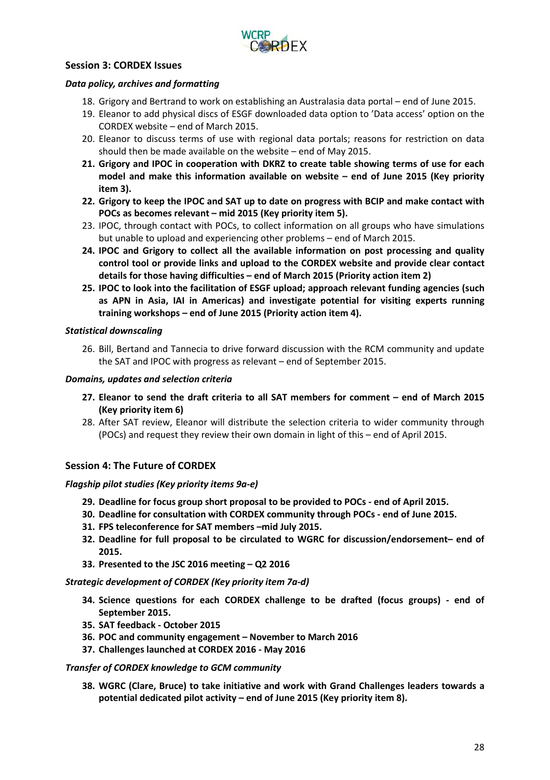

#### **Session 3: CORDEX Issues**

#### *Data policy, archives and formatting*

- 18. Grigory and Bertrand to work on establishing an Australasia data portal end of June 2015.
- 19. Eleanor to add physical discs of ESGF downloaded data option to 'Data access' option on the CORDEX website – end of March 2015.
- 20. Eleanor to discuss terms of use with regional data portals; reasons for restriction on data should then be made available on the website – end of May 2015.
- **21. Grigory and IPOC in cooperation with DKRZ to create table showing terms of use for each model and make this information available on website – end of June 2015 (Key priority item 3).**
- **22. Grigory to keep the IPOC and SAT up to date on progress with BCIP and make contact with POCs as becomes relevant – mid 2015 (Key priority item 5).**
- 23. IPOC, through contact with POCs, to collect information on all groups who have simulations but unable to upload and experiencing other problems – end of March 2015.
- **24. IPOC and Grigory to collect all the available information on post processing and quality control tool or provide links and upload to the CORDEX website and provide clear contact details for those having difficulties – end of March 2015 (Priority action item 2)**
- **25. IPOC to look into the facilitation of ESGF upload; approach relevant funding agencies (such as APN in Asia, IAI in Americas) and investigate potential for visiting experts running training workshops – end of June 2015 (Priority action item 4).**

#### *Statistical downscaling*

26. Bill, Bertand and Tannecia to drive forward discussion with the RCM community and update the SAT and IPOC with progress as relevant – end of September 2015.

#### *Domains, updates and selection criteria*

- **27. Eleanor to send the draft criteria to all SAT members for comment – end of March 2015 (Key priority item 6)**
- 28. After SAT review, Eleanor will distribute the selection criteria to wider community through (POCs) and request they review their own domain in light of this – end of April 2015.

## **Session 4: The Future of CORDEX**

#### *Flagship pilot studies (Key priority items 9a-e)*

- **29. Deadline for focus group short proposal to be provided to POCs - end of April 2015.**
- **30. Deadline for consultation with CORDEX community through POCs - end of June 2015.**
- **31. FPS teleconference for SAT members –mid July 2015.**
- **32. Deadline for full proposal to be circulated to WGRC for discussion/endorsement– end of 2015.**
- **33. Presented to the JSC 2016 meeting – Q2 2016**

#### *Strategic development of CORDEX (Key priority item 7a-d)*

- **34. Science questions for each CORDEX challenge to be drafted (focus groups) - end of September 2015.**
- **35. SAT feedback - October 2015**
- **36. POC and community engagement – November to March 2016**
- **37. Challenges launched at CORDEX 2016 - May 2016**

#### *Transfer of CORDEX knowledge to GCM community*

**38. WGRC (Clare, Bruce) to take initiative and work with Grand Challenges leaders towards a potential dedicated pilot activity – end of June 2015 (Key priority item 8).**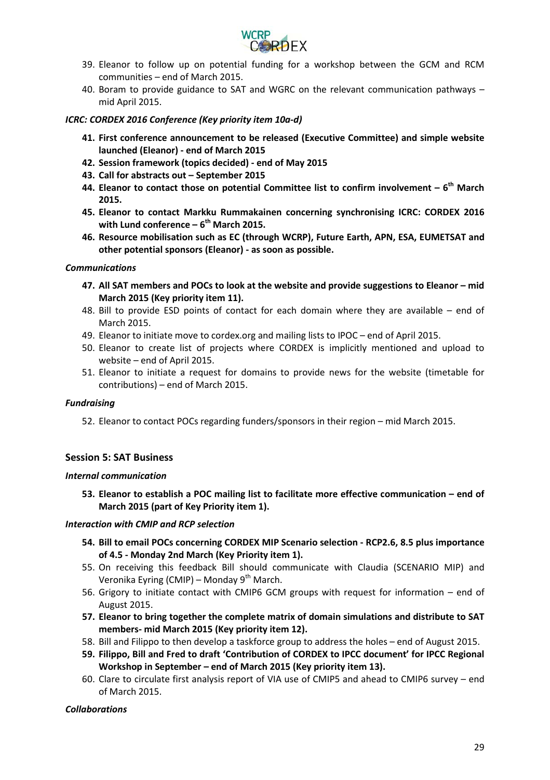

- 39. Eleanor to follow up on potential funding for a workshop between the GCM and RCM communities – end of March 2015.
- 40. Boram to provide guidance to SAT and WGRC on the relevant communication pathways mid April 2015.

#### *ICRC: CORDEX 2016 Conference (Key priority item 10a-d)*

- **41. First conference announcement to be released (Executive Committee) and simple website launched (Eleanor) - end of March 2015**
- **42. Session framework (topics decided) - end of May 2015**
- **43. Call for abstracts out – September 2015**
- **44. Eleanor to contact those on potential Committee list to confirm involvement – 6th March 2015.**
- **45. Eleanor to contact Markku Rummakainen concerning synchronising ICRC: CORDEX 2016 with Lund conference – 6th March 2015.**
- **46. Resource mobilisation such as EC (through WCRP), Future Earth, APN, ESA, EUMETSAT and other potential sponsors (Eleanor) - as soon as possible.**

#### *Communications*

- **47. All SAT members and POCs to look at the website and provide suggestions to Eleanor – mid March 2015 (Key priority item 11).**
- 48. Bill to provide ESD points of contact for each domain where they are available end of March 2015.
- 49. Eleanor to initiate move to cordex.org and mailing lists to IPOC end of April 2015.
- 50. Eleanor to create list of projects where CORDEX is implicitly mentioned and upload to website – end of April 2015.
- 51. Eleanor to initiate a request for domains to provide news for the website (timetable for contributions) – end of March 2015.

#### *Fundraising*

52. Eleanor to contact POCs regarding funders/sponsors in their region – mid March 2015.

#### **Session 5: SAT Business**

#### *Internal communication*

**53. Eleanor to establish a POC mailing list to facilitate more effective communication – end of March 2015 (part of Key Priority item 1).**

#### *Interaction with CMIP and RCP selection*

- **54. Bill to email POCs concerning CORDEX MIP Scenario selection - RCP2.6, 8.5 plus importance of 4.5 - Monday 2nd March (Key Priority item 1).**
- 55. On receiving this feedback Bill should communicate with Claudia (SCENARIO MIP) and Veronika Eyring (CMIP) – Monday 9<sup>th</sup> March.
- 56. Grigory to initiate contact with CMIP6 GCM groups with request for information end of August 2015.
- **57. Eleanor to bring together the complete matrix of domain simulations and distribute to SAT members- mid March 2015 (Key priority item 12).**
- 58. Bill and Filippo to then develop a taskforce group to address the holes end of August 2015.
- **59. Filippo, Bill and Fred to draft 'Contribution of CORDEX to IPCC document' for IPCC Regional Workshop in September – end of March 2015 (Key priority item 13).**
- 60. Clare to circulate first analysis report of VIA use of CMIP5 and ahead to CMIP6 survey end of March 2015.

#### *Collaborations*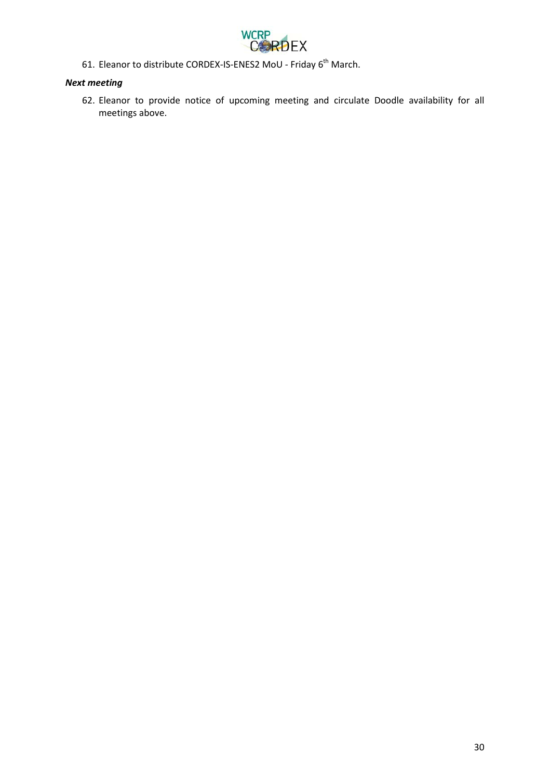

61. Eleanor to distribute CORDEX-IS-ENES2 MoU - Friday  $6<sup>th</sup>$  March.

## *Next meeting*

62. Eleanor to provide notice of upcoming meeting and circulate Doodle availability for all meetings above.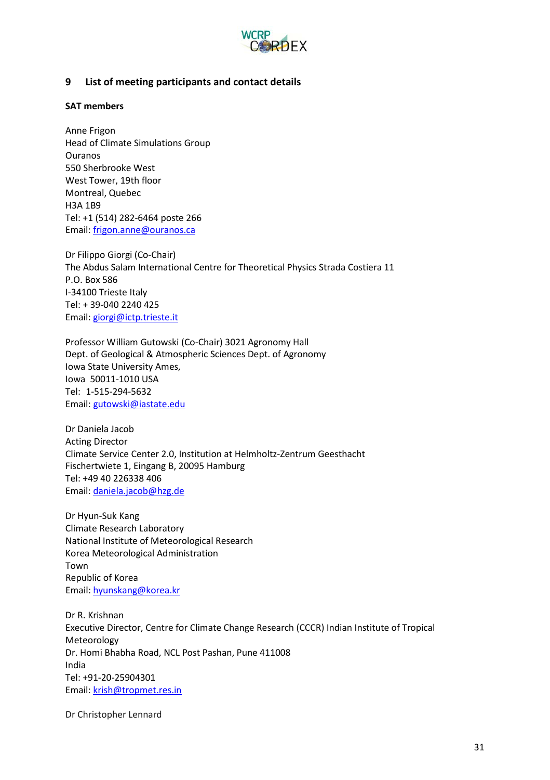

## <span id="page-30-0"></span>**9 List of meeting participants and contact details**

#### **SAT members**

Anne Frigon Head of Climate Simulations Group Ouranos 550 Sherbrooke West West Tower, 19th floor Montreal, Quebec H3A 1B9 Tel: +1 (514) 282-6464 poste 266 Email: [frigon.anne@ouranos.ca](mailto:frigon.anne@ouranos.ca)

Dr Filippo Giorgi (Co-Chair) The Abdus Salam International Centre for Theoretical Physics Strada Costiera 11 P.O. Box 586 I-34100 Trieste Italy Tel: + 39-040 2240 425 Email: [giorgi@ictp.trieste.it](mailto:giorgi@ictp.trieste.it)

Professor William Gutowski (Co-Chair) 3021 Agronomy Hall Dept. of Geological & Atmospheric Sciences Dept. of Agronomy Iowa State University Ames, Iowa 50011-1010 USA Tel: 1-515-294-5632 Email: [gutowski@iastate.edu](mailto:gutowski@iastate.edu)

Dr Daniela Jacob Acting Director Climate Service Center 2.0, Institution at Helmholtz-Zentrum Geesthacht Fischertwiete 1, Eingang B, 20095 Hamburg Tel: +49 40 226338 406 Email: [daniela.jacob@hzg.de](mailto:daniela.jacob@hzg.de)

Dr Hyun-Suk Kang Climate Research Laboratory National Institute of Meteorological Research Korea Meteorological Administration Town Republic of Korea Email: [hyunskang@korea.kr](mailto:hyunskang@korea.kr)

Dr R. Krishnan Executive Director, Centre for Climate Change Research (CCCR) Indian Institute of Tropical Meteorology Dr. Homi Bhabha Road, NCL Post Pashan, Pune 411008 India Tel: +91-20-25904301 Email: [krish@tropmet.res.in](mailto:krish@tropmet.res.in)

Dr Christopher Lennard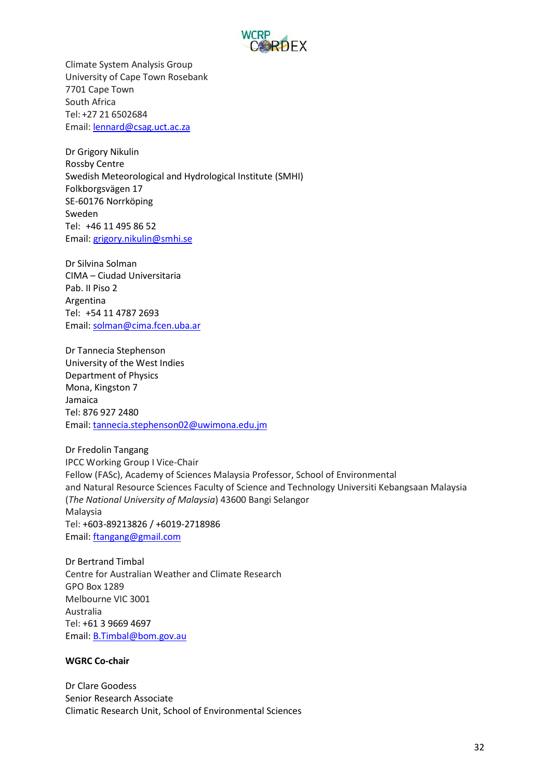

Climate System Analysis Group University of Cape Town Rosebank 7701 Cape Town South Africa Tel: +27 21 6502684 Email: [lennard@csag.uct.ac.za](mailto:lennard@csag.uct.ac.za)

Dr Grigory Nikulin Rossby Centre Swedish Meteorological and Hydrological Institute (SMHI) Folkborgsvägen 17 SE-60176 Norrköping Sweden Tel: +46 11 495 86 52 Email: [grigory.nikulin@smhi.se](mailto:grigory.nikulin@smhi.se)

Dr Silvina Solman CIMA – Ciudad Universitaria Pab. II Piso 2 Argentina Tel: +54 11 4787 2693 Email: [solman@cima.fcen.uba.ar](mailto:solman@cima.fcen.uba.ar)

Dr Tannecia Stephenson University of the West Indies Department of Physics Mona, Kingston 7 Jamaica Tel: 876 927 2480 Email: [tannecia.stephenson02@uwimona.edu.jm](mailto:tannecia.stephenson02@uwimona.edu.jm)

Dr Fredolin Tangang IPCC Working Group I Vice-Chair Fellow (FASc), Academy of Sciences Malaysia Professor, School of Environmental and Natural Resource Sciences Faculty of Science and Technology Universiti Kebangsaan Malaysia (*The National University of Malaysia*) 43600 Bangi Selangor Malaysia Tel: +603-89213826 / +6019-2718986 Email: [ftangang@gmail.com](mailto:ftangang@gmail.com)

Dr Bertrand Timbal Centre for Australian Weather and Climate Research GPO Box 1289 Melbourne VIC 3001 Australia Tel: +61 3 9669 4697 Email: [B.Timbal@bom.gov.au](mailto:B.Timbal@bom.gov.au)

#### **WGRC Co-chair**

Dr Clare Goodess Senior Research Associate Climatic Research Unit, School of Environmental Sciences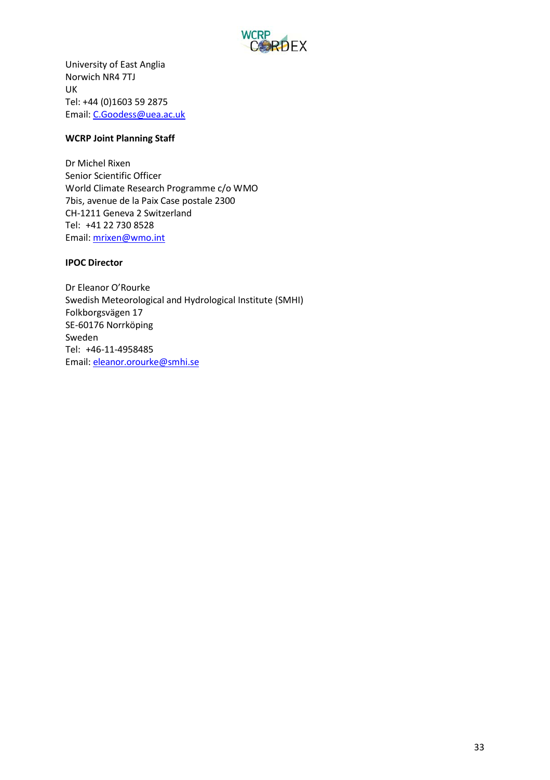

University of East Anglia Norwich NR4 7TJ UK Tel: +44 (0)1603 59 2875 Email: [C.Goodess@uea.ac.uk](mailto:C.Goodess@uea.ac.uk)

#### **WCRP Joint Planning Staff**

Dr Michel Rixen Senior Scientific Officer World Climate Research Programme c/o WMO 7bis, avenue de la Paix Case postale 2300 CH-1211 Geneva 2 Switzerland Tel: +41 22 730 8528 Email: [mrixen@wmo.int](mailto:mrixen@wmo.int)

#### **IPOC Director**

Dr Eleanor O'Rourke Swedish Meteorological and Hydrological Institute (SMHI) Folkborgsvägen 17 SE-60176 Norrköping Sweden Tel: +46-11-4958485 Email: eleanor.orourke@smhi.se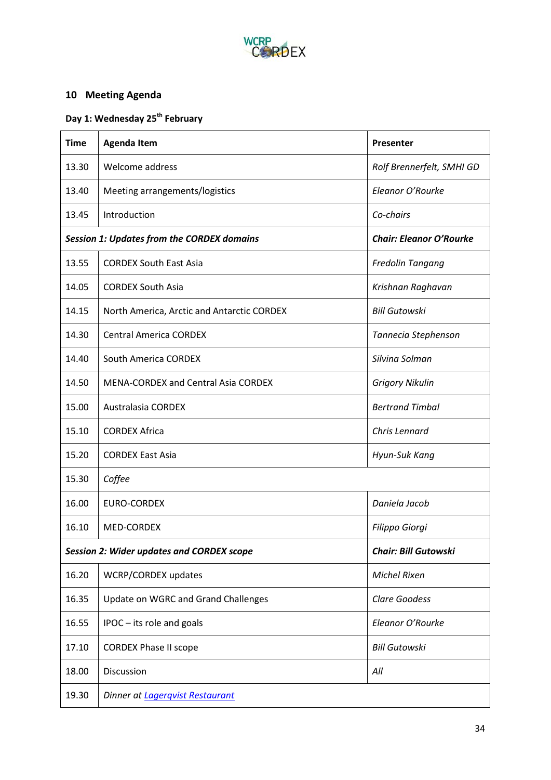

## <span id="page-33-0"></span>**10 Meeting Agenda**

## **Day 1: Wednesday 25th February**

| <b>Time</b>                                      | <b>Agenda Item</b>                                | Presenter                      |
|--------------------------------------------------|---------------------------------------------------|--------------------------------|
| 13.30                                            | Welcome address                                   | Rolf Brennerfelt, SMHI GD      |
| 13.40                                            | Meeting arrangements/logistics                    | Eleanor O'Rourke               |
| 13.45                                            | Introduction                                      | Co-chairs                      |
|                                                  | <b>Session 1: Updates from the CORDEX domains</b> | <b>Chair: Eleanor O'Rourke</b> |
| 13.55                                            | <b>CORDEX South East Asia</b>                     | Fredolin Tangang               |
| 14.05                                            | <b>CORDEX South Asia</b>                          | Krishnan Raghavan              |
| 14.15                                            | North America, Arctic and Antarctic CORDEX        | <b>Bill Gutowski</b>           |
| 14.30                                            | <b>Central America CORDEX</b>                     | Tannecia Stephenson            |
| 14.40                                            | South America CORDEX                              | Silvina Solman                 |
| 14.50                                            | <b>MENA-CORDEX and Central Asia CORDEX</b>        | <b>Grigory Nikulin</b>         |
| 15.00                                            | <b>Australasia CORDEX</b>                         | <b>Bertrand Timbal</b>         |
| 15.10                                            | <b>CORDEX Africa</b>                              | Chris Lennard                  |
| 15.20                                            | <b>CORDEX East Asia</b>                           | Hyun-Suk Kang                  |
| 15.30                                            | Coffee                                            |                                |
| 16.00                                            | <b>EURO-CORDEX</b>                                | Daniela Jacob                  |
| 16.10                                            | <b>MED-CORDEX</b>                                 | Filippo Giorgi                 |
| <b>Session 2: Wider updates and CORDEX scope</b> |                                                   | <b>Chair: Bill Gutowski</b>    |
| 16.20                                            | WCRP/CORDEX updates                               | <b>Michel Rixen</b>            |
| 16.35                                            | Update on WGRC and Grand Challenges               | <b>Clare Goodess</b>           |
| 16.55                                            | IPOC - its role and goals                         | Eleanor O'Rourke               |
| 17.10                                            | <b>CORDEX Phase II scope</b>                      | <b>Bill Gutowski</b>           |
| 18.00                                            | Discussion                                        | All                            |
| 19.30                                            | Dinner at Lagerqvist Restaurant                   |                                |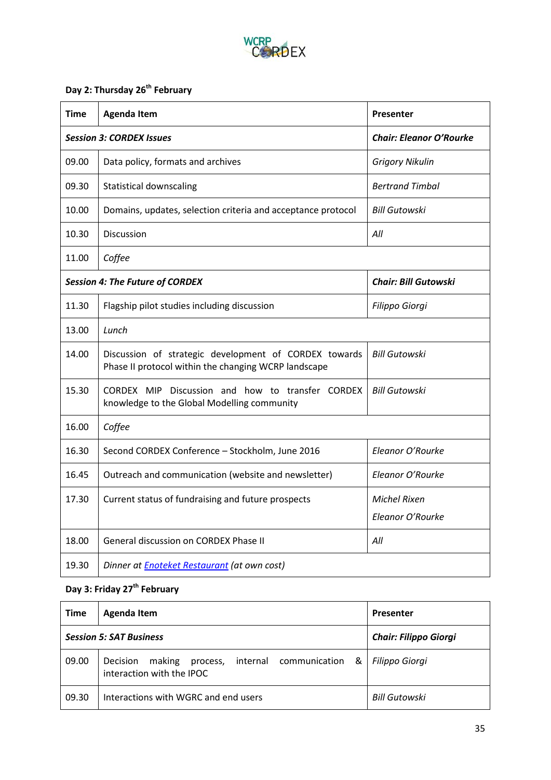

## **Day 2: Thursday 26th February**

| Time                                   | <b>Agenda Item</b>                                                                                            | Presenter                      |
|----------------------------------------|---------------------------------------------------------------------------------------------------------------|--------------------------------|
|                                        | <b>Session 3: CORDEX Issues</b>                                                                               | <b>Chair: Eleanor O'Rourke</b> |
| 09.00                                  | Data policy, formats and archives                                                                             | <b>Grigory Nikulin</b>         |
| 09.30                                  | <b>Statistical downscaling</b>                                                                                | <b>Bertrand Timbal</b>         |
| 10.00                                  | Domains, updates, selection criteria and acceptance protocol                                                  | <b>Bill Gutowski</b>           |
| 10.30                                  | Discussion                                                                                                    | All                            |
| 11.00                                  | Coffee                                                                                                        |                                |
| <b>Session 4: The Future of CORDEX</b> |                                                                                                               | <b>Chair: Bill Gutowski</b>    |
| 11.30                                  | Flagship pilot studies including discussion                                                                   | Filippo Giorgi                 |
| 13.00                                  | Lunch                                                                                                         |                                |
| 14.00                                  | Discussion of strategic development of CORDEX towards<br>Phase II protocol within the changing WCRP landscape | <b>Bill Gutowski</b>           |
| 15.30                                  | CORDEX MIP Discussion and how to transfer CORDEX<br>knowledge to the Global Modelling community               | <b>Bill Gutowski</b>           |
| 16.00                                  | Coffee                                                                                                        |                                |
| 16.30                                  | Second CORDEX Conference - Stockholm, June 2016                                                               | Eleanor O'Rourke               |
| 16.45                                  | Outreach and communication (website and newsletter)                                                           | Eleanor O'Rourke               |
| 17.30                                  | Current status of fundraising and future prospects                                                            | Michel Rixen                   |
|                                        |                                                                                                               | Eleanor O'Rourke               |
| 18.00                                  | General discussion on CORDEX Phase II                                                                         | All                            |
| 19.30                                  | Dinner at <b>Enoteket Restaurant</b> (at own cost)                                                            |                                |

## **Day 3: Friday 27th February**

| Time  | Agenda Item                                                                                | <b>Presenter</b>             |
|-------|--------------------------------------------------------------------------------------------|------------------------------|
|       | <b>Session 5: SAT Business</b>                                                             | <b>Chair: Filippo Giorgi</b> |
| 09.00 | making<br>internal communication<br>&<br>Decision<br>process,<br>interaction with the IPOC | <b>Filippo Giorgi</b>        |
| 09.30 | Interactions with WGRC and end users                                                       | Bill Gutowski                |